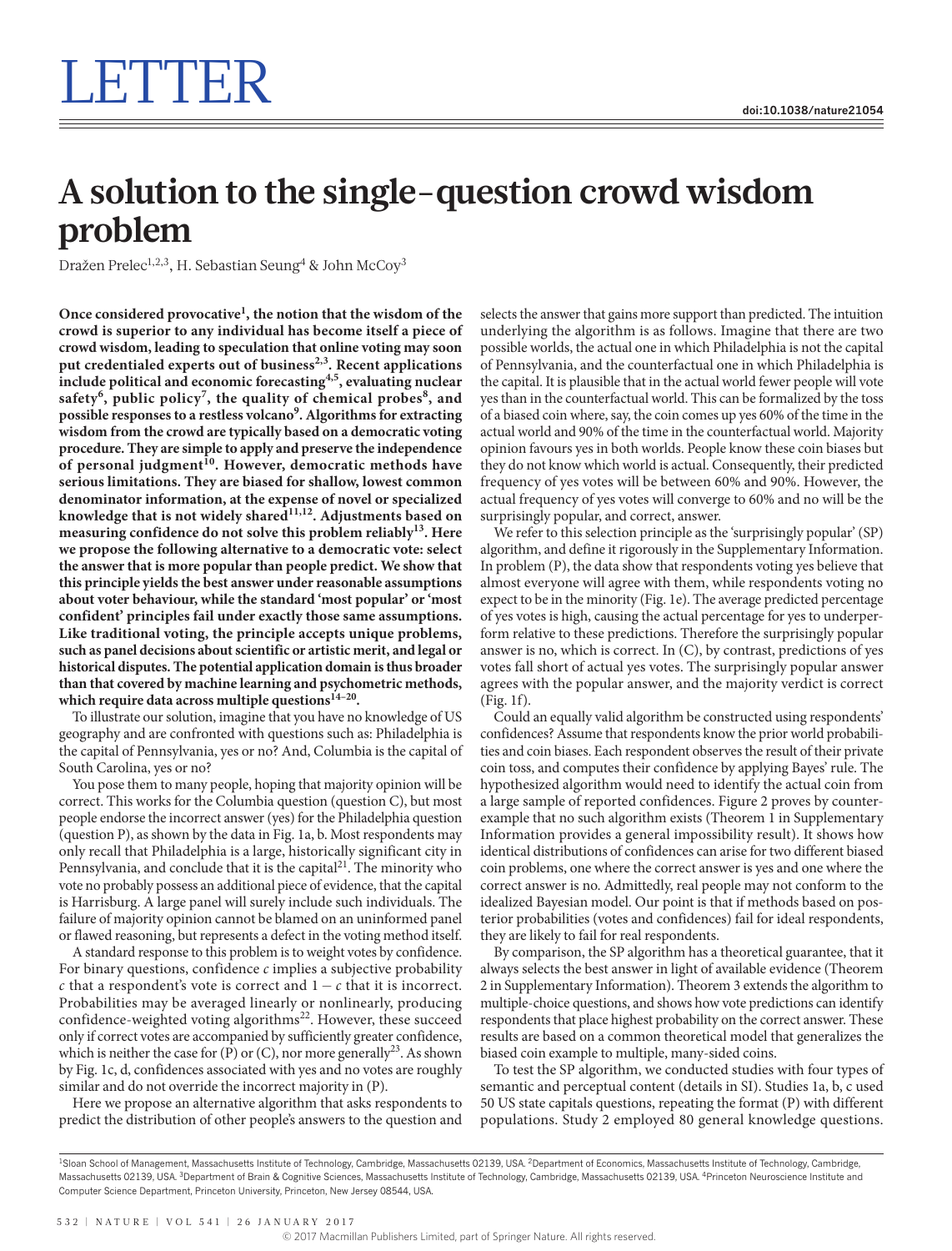# LETTER

# **A solution to the single-question crowd wisdom problem**

Dražen Prelec<sup>1,2,3</sup>, H. Sebastian Seung<sup>4</sup> & John McCoy<sup>3</sup>

**Once considered provocative<sup>1</sup> , the notion that the wisdom of the crowd is superior to any individual has become itself a piece of crowd wisdom, leading to speculation that online voting may soon put credentialed experts out of business2,3 . Recent applications include political and economic forecasting4,5 , evaluating nuclear**  safety<sup>6</sup>, public policy<sup>7</sup>, the quality of chemical probes<sup>8</sup>, and **possible responses to a restless volcano9 . Algorithms for extracting wisdom from the crowd are typically based on a democratic voting procedure. They are simple to apply and preserve the independence of personal judgment10. However, democratic methods have serious limitations. They are biased for shallow, lowest common denominator information, at the expense of novel or specialized knowledge that is not widely shared11,12. Adjustments based on measuring confidence do not solve this problem reliably13. Here we propose the following alternative to a democratic vote: select the answer that is more popular than people predict. We show that this principle yields the best answer under reasonable assumptions about voter behaviour, while the standard 'most popular' or 'most confident' principles fail under exactly those same assumptions. Like traditional voting, the principle accepts unique problems, such as panel decisions about scientific or artistic merit, and legal or historical disputes. The potential application domain is thus broader than that covered by machine learning and psychometric methods,**  which require data across multiple questions<sup>14-20</sup>.

To illustrate our solution, imagine that you have no knowledge of US geography and are confronted with questions such as: Philadelphia is the capital of Pennsylvania, yes or no? And, Columbia is the capital of South Carolina, yes or no?

You pose them to many people, hoping that majority opinion will be correct. This works for the Columbia question (question C), but most people endorse the incorrect answer (yes) for the Philadelphia question (question P), as shown by the data in Fig. 1a, b. Most respondents may only recall that Philadelphia is a large, historically significant city in Pennsylvania, and conclude that it is the capital<sup>21</sup>. The minority who vote no probably possess an additional piece of evidence, that the capital is Harrisburg. A large panel will surely include such individuals. The failure of majority opinion cannot be blamed on an uninformed panel or flawed reasoning, but represents a defect in the voting method itself.

A standard response to this problem is to weight votes by confidence. For binary questions, confidence c implies a subjective probability c that a respondent's vote is correct and  $1 - c$  that it is incorrect. Probabilities may be averaged linearly or nonlinearly, producing confidence-weighted voting algorithms<sup>22</sup>. However, these succeed only if correct votes are accompanied by sufficiently greater confidence, which is neither the case for (P) or (C), nor more generally<sup>23</sup>. As shown by Fig. 1c, d, confidences associated with yes and no votes are roughly similar and do not override the incorrect majority in (P).

Here we propose an alternative algorithm that asks respondents to predict the distribution of other people's answers to the question and

selects the answer that gains more support than predicted. The intuition underlying the algorithm is as follows. Imagine that there are two possible worlds, the actual one in which Philadelphia is not the capital of Pennsylvania, and the counterfactual one in which Philadelphia is the capital. It is plausible that in the actual world fewer people will vote yes than in the counterfactual world. This can be formalized by the toss of a biased coin where, say, the coin comes up yes 60% of the time in the actual world and 90% of the time in the counterfactual world. Majority opinion favours yes in both worlds. People know these coin biases but they do not know which world is actual. Consequently, their predicted frequency of yes votes will be between 60% and 90%. However, the actual frequency of yes votes will converge to 60% and no will be the surprisingly popular, and correct, answer.

We refer to this selection principle as the 'surprisingly popular' (SP) algorithm, and define it rigorously in the Supplementary Information. In problem (P), the data show that respondents voting yes believe that almost everyone will agree with them, while respondents voting no expect to be in the minority (Fig. 1e). The average predicted percentage of yes votes is high, causing the actual percentage for yes to underperform relative to these predictions. Therefore the surprisingly popular answer is no, which is correct. In (C), by contrast, predictions of yes votes fall short of actual yes votes. The surprisingly popular answer agrees with the popular answer, and the majority verdict is correct (Fig. 1f).

Could an equally valid algorithm be constructed using respondents' confidences? Assume that respondents know the prior world probabilities and coin biases. Each respondent observes the result of their private coin toss, and computes their confidence by applying Bayes' rule. The hypothesized algorithm would need to identify the actual coin from a large sample of reported confidences. Figure 2 proves by counterexample that no such algorithm exists (Theorem 1 in Supplementary Information provides a general impossibility result). It shows how identical distributions of confidences can arise for two different biased coin problems, one where the correct answer is yes and one where the correct answer is no. Admittedly, real people may not conform to the idealized Bayesian model. Our point is that if methods based on posterior probabilities (votes and confidences) fail for ideal respondents, they are likely to fail for real respondents.

By comparison, the SP algorithm has a theoretical guarantee, that it always selects the best answer in light of available evidence (Theorem 2 in Supplementary Information). Theorem 3 extends the algorithm to multiple-choice questions, and shows how vote predictions can identify respondents that place highest probability on the correct answer. These results are based on a common theoretical model that generalizes the biased coin example to multiple, many-sided coins.

To test the SP algorithm, we conducted studies with four types of semantic and perceptual content (details in SI). Studies 1a, b, c used 50 US state capitals questions, repeating the format (P) with different populations. Study 2 employed 80 general knowledge questions.

<sup>&</sup>lt;sup>1</sup>Sloan School of Management, Massachusetts Institute of Technology, Cambridge, Massachusetts 02139, USA. <sup>2</sup>Department of Economics, Massachusetts Institute of Technology, Cambridge, Massachusetts 02139, USA. <sup>3</sup>Department of Brain & Cognitive Sciences, Massachusetts Institute of Technology, Cambridge, Massachusetts 02139, USA. <sup>4</sup>Princeton Neuroscience Institute and Computer Science Department, Princeton University, Princeton, New Jersey 08544, USA.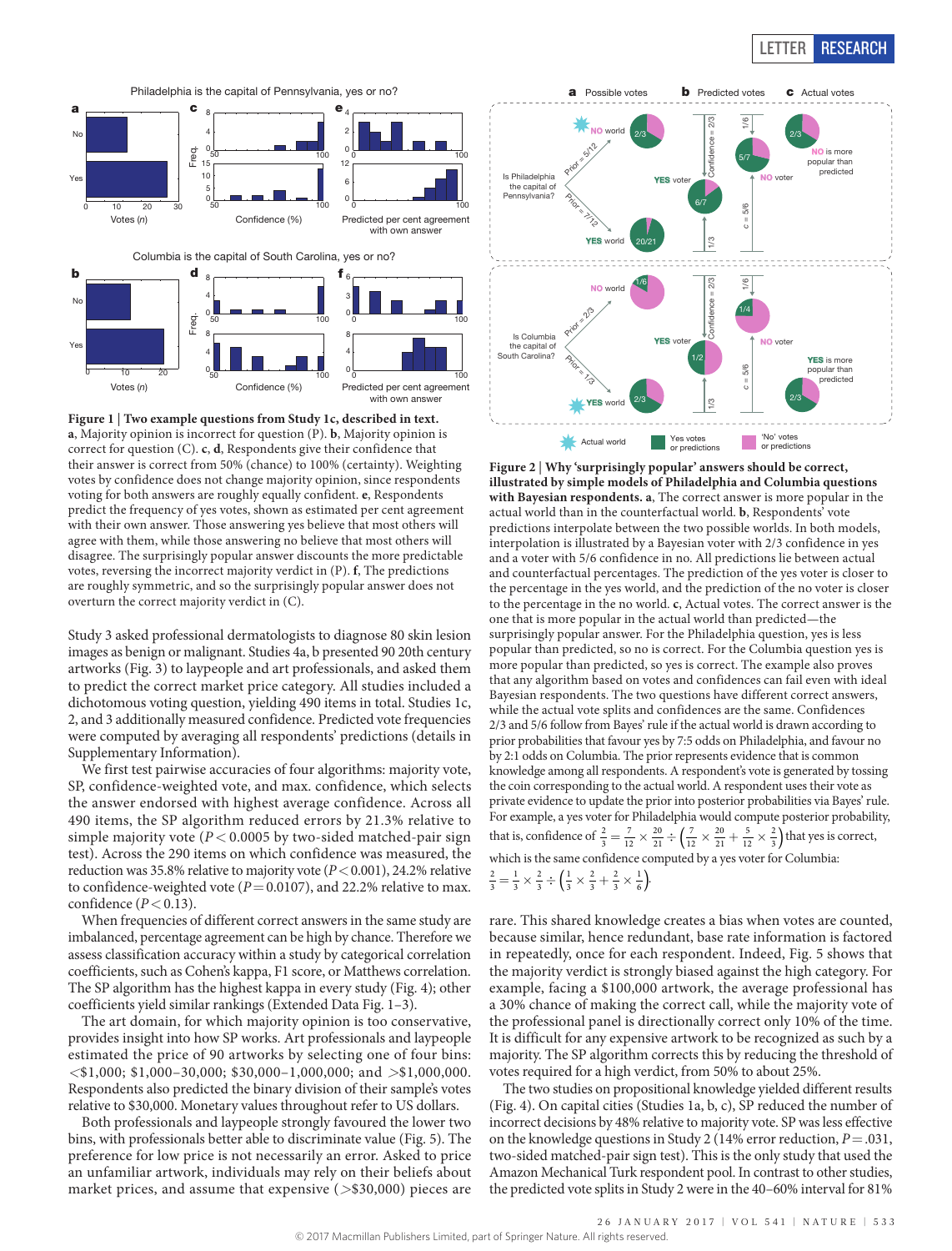#### LETTER RESEARCH



**Figure 1** | **Two example questions from Study 1c, described in text. a**, Majority opinion is incorrect for question (P). **b**, Majority opinion is correct for question (C). **c**, **d**, Respondents give their confidence that their answer is correct from 50% (chance) to 100% (certainty). Weighting votes by confidence does not change majority opinion, since respondents voting for both answers are roughly equally confident. **e**, Respondents predict the frequency of yes votes, shown as estimated per cent agreement with their own answer. Those answering yes believe that most others will agree with them, while those answering no believe that most others will disagree. The surprisingly popular answer discounts the more predictable votes, reversing the incorrect majority verdict in (P). **f**, The predictions are roughly symmetric, and so the surprisingly popular answer does not overturn the correct majority verdict in (C).

Study 3 asked professional dermatologists to diagnose 80 skin lesion images as benign or malignant. Studies 4a, b presented 90 20th century artworks (Fig. 3) to laypeople and art professionals, and asked them to predict the correct market price category. All studies included a dichotomous voting question, yielding 490 items in total. Studies 1c, 2, and 3 additionally measured confidence. Predicted vote frequencies were computed by averaging all respondents' predictions (details in Supplementary Information).

We first test pairwise accuracies of four algorithms: majority vote, SP, confidence-weighted vote, and max. confidence, which selects the answer endorsed with highest average confidence. Across all 490 items, the SP algorithm reduced errors by 21.3% relative to simple majority vote ( $P < 0.0005$  by two-sided matched-pair sign test). Across the 290 items on which confidence was measured, the reduction was 35.8% relative to majority vote  $(P < 0.001)$ , 24.2% relative to confidence-weighted vote ( $P=0.0107$ ), and 22.2% relative to max. confidence ( $P < 0.13$ ).

When frequencies of different correct answers in the same study are imbalanced, percentage agreement can be high by chance. Therefore we assess classification accuracy within a study by categorical correlation coefficients, such as Cohen's kappa, F1 score, or Matthews correlation. The SP algorithm has the highest kappa in every study (Fig. 4); other coefficients yield similar rankings (Extended Data Fig. 1–3).

The art domain, for which majority opinion is too conservative, provides insight into how SP works. Art professionals and laypeople estimated the price of 90 artworks by selecting one of four bins: *<*\$1,000; \$1,000–30,000; \$30,000–1,000,000; and *>*\$1,000,000. Respondents also predicted the binary division of their sample's votes relative to \$30,000. Monetary values throughout refer to US dollars.

Both professionals and laypeople strongly favoured the lower two bins, with professionals better able to discriminate value (Fig. 5). The preference for low price is not necessarily an error. Asked to price an unfamiliar artwork, individuals may rely on their beliefs about market prices, and assume that expensive (*>*\$30,000) pieces are



**Figure 2** | **Why 'surprisingly popular' answers should be correct, illustrated by simple models of Philadelphia and Columbia questions with Bayesian respondents. a**, The correct answer is more popular in the actual world than in the counterfactual world. **b**, Respondents' vote predictions interpolate between the two possible worlds. In both models, interpolation is illustrated by a Bayesian voter with 2/3 confidence in yes and a voter with 5/6 confidence in no. All predictions lie between actual and counterfactual percentages. The prediction of the yes voter is closer to the percentage in the yes world, and the prediction of the no voter is closer to the percentage in the no world. **c**, Actual votes. The correct answer is the one that is more popular in the actual world than predicted—the surprisingly popular answer. For the Philadelphia question, yes is less popular than predicted, so no is correct. For the Columbia question yes is more popular than predicted, so yes is correct. The example also proves that any algorithm based on votes and confidences can fail even with ideal Bayesian respondents. The two questions have different correct answers, while the actual vote splits and confidences are the same. Confidences 2/3 and 5/6 follow from Bayes' rule if the actual world is drawn according to prior probabilities that favour yes by 7:5 odds on Philadelphia, and favour no by 2:1 odds on Columbia. The prior represents evidence that is common knowledge among all respondents. A respondent's vote is generated by tossing the coin corresponding to the actual world. A respondent uses their vote as private evidence to update the prior into posterior probabilities via Bayes' rule. For example, a yes voter for Philadelphia would compute posterior probability, that is, confidence of  $\frac{2}{3} = \frac{7}{12} \times \frac{20}{21} \div \left( \frac{7}{12} \times \frac{20}{21} + \frac{5}{12} \times \frac{2}{3} \right)$ 7 12 20 21 7 12 20 21 5 12  $\frac{2}{3}$ ) that yes is correct, which is the same confidence computed by a yes voter for Columbia:  $\frac{2}{3} = \frac{1}{3} \times \frac{2}{3} \div \left( \frac{1}{3} \times \frac{2}{3} + \frac{2}{3} \times \frac{1}{6} \right)$ 1 3 2 3 1 3 2 3 2 3  $\frac{1}{6}$ 

rare. This shared knowledge creates a bias when votes are counted, because similar, hence redundant, base rate information is factored in repeatedly, once for each respondent. Indeed, Fig. 5 shows that the majority verdict is strongly biased against the high category. For example, facing a \$100,000 artwork, the average professional has a 30% chance of making the correct call, while the majority vote of the professional panel is directionally correct only 10% of the time. It is difficult for any expensive artwork to be recognized as such by a majority. The SP algorithm corrects this by reducing the threshold of votes required for a high verdict, from 50% to about 25%.

The two studies on propositional knowledge yielded different results (Fig. 4). On capital cities (Studies 1a, b, c), SP reduced the number of incorrect decisions by 48% relative to majority vote. SP was less effective on the knowledge questions in Study 2 (14% error reduction,  $P = .031$ , two-sided matched-pair sign test). This is the only study that used the Amazon Mechanical Turk respondent pool. In contrast to other studies, the predicted vote splits in Study 2 were in the 40–60% interval for 81%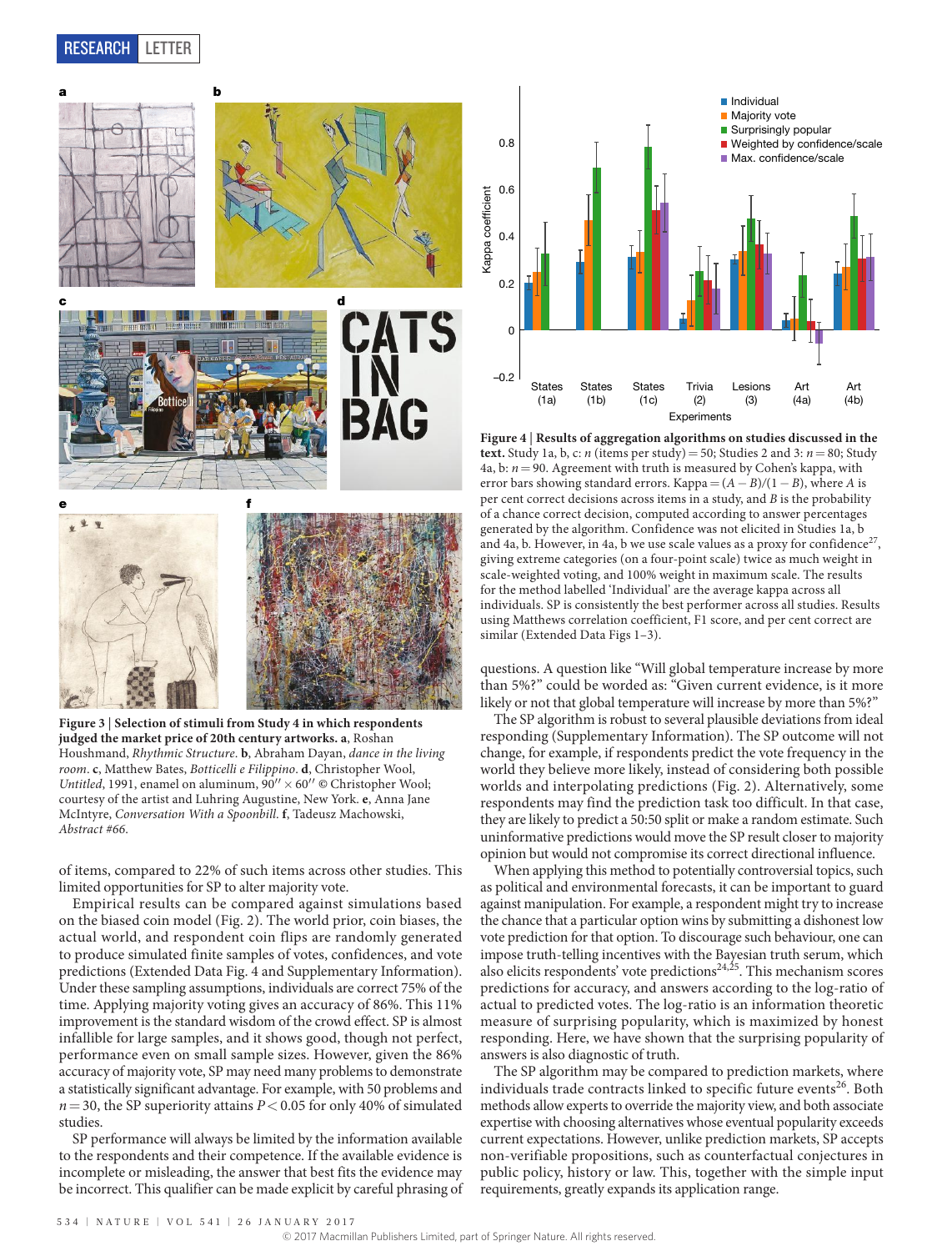

**Figure 3** | **Selection of stimuli from Study 4 in which respondents judged the market price of 20th century artworks. a**, Roshan Houshmand, Rhythmic Structure. **b**, Abraham Dayan, dance in the living room. **c**, Matthew Bates, Botticelli e Filippino. **d**, Christopher Wool, Untitled, 1991, enamel on aluminum,  $90'' \times 60''$  © Christopher Wool; courtesy of the artist and Luhring Augustine, New York. **e**, Anna Jane McIntyre, Conversation With a Spoonbill. **f**, Tadeusz Machowski, Abstract #66.

of items, compared to 22% of such items across other studies. This limited opportunities for SP to alter majority vote.

Empirical results can be compared against simulations based on the biased coin model (Fig. 2). The world prior, coin biases, the actual world, and respondent coin flips are randomly generated to produce simulated finite samples of votes, confidences, and vote predictions (Extended Data Fig. 4 and Supplementary Information). Under these sampling assumptions, individuals are correct 75% of the time. Applying majority voting gives an accuracy of 86%. This 11% improvement is the standard wisdom of the crowd effect. SP is almost infallible for large samples, and it shows good, though not perfect, performance even on small sample sizes. However, given the 86% accuracy of majority vote, SP may need many problems to demonstrate a statistically significant advantage. For example, with 50 problems and  $n\!=\!30,$  the SP superiority attains  $P\!<\!0.05$  for only 40% of simulated studies.

SP performance will always be limited by the information available to the respondents and their competence. If the available evidence is incomplete or misleading, the answer that best fits the evidence may be incorrect. This qualifier can be made explicit by careful phrasing of



**Figure 4** | **Results of aggregation algorithms on studies discussed in the text.** Study 1a, b, c: *n* (items per study) = 50; Studies 2 and 3:  $n = 80$ ; Study 4a, b:  $n = 90$ . Agreement with truth is measured by Cohen's kappa, with error bars showing standard errors. Kappa= $(A - B)/(1 - B)$ , where A is per cent correct decisions across items in a study, and B is the probability of a chance correct decision, computed according to answer percentages generated by the algorithm. Confidence was not elicited in Studies 1a, b and 4a, b. However, in 4a, b we use scale values as a proxy for confidence<sup>27</sup>, giving extreme categories (on a four-point scale) twice as much weight in scale-weighted voting, and 100% weight in maximum scale. The results for the method labelled 'Individual' are the average kappa across all individuals. SP is consistently the best performer across all studies. Results using Matthews correlation coefficient, F1 score, and per cent correct are similar (Extended Data Figs 1–3).

questions. A question like "Will global temperature increase by more than 5%?" could be worded as: "Given current evidence, is it more likely or not that global temperature will increase by more than 5%?"

The SP algorithm is robust to several plausible deviations from ideal responding (Supplementary Information). The SP outcome will not change, for example, if respondents predict the vote frequency in the world they believe more likely, instead of considering both possible worlds and interpolating predictions (Fig. 2). Alternatively, some respondents may find the prediction task too difficult. In that case, they are likely to predict a 50:50 split or make a random estimate. Such uninformative predictions would move the SP result closer to majority opinion but would not compromise its correct directional influence.

When applying this method to potentially controversial topics, such as political and environmental forecasts, it can be important to guard against manipulation. For example, a respondent might try to increase the chance that a particular option wins by submitting a dishonest low vote prediction for that option. To discourage such behaviour, one can impose truth-telling incentives with the Bayesian truth serum, which also elicits respondents' vote predictions $24,25$ . This mechanism scores predictions for accuracy, and answers according to the log-ratio of actual to predicted votes. The log-ratio is an information theoretic measure of surprising popularity, which is maximized by honest responding. Here, we have shown that the surprising popularity of answers is also diagnostic of truth.

The SP algorithm may be compared to prediction markets, where individuals trade contracts linked to specific future events<sup>26</sup>. Both methods allow experts to override the majority view, and both associate expertise with choosing alternatives whose eventual popularity exceeds current expectations. However, unlike prediction markets, SP accepts non-verifiable propositions, such as counterfactual conjectures in public policy, history or law. This, together with the simple input requirements, greatly expands its application range.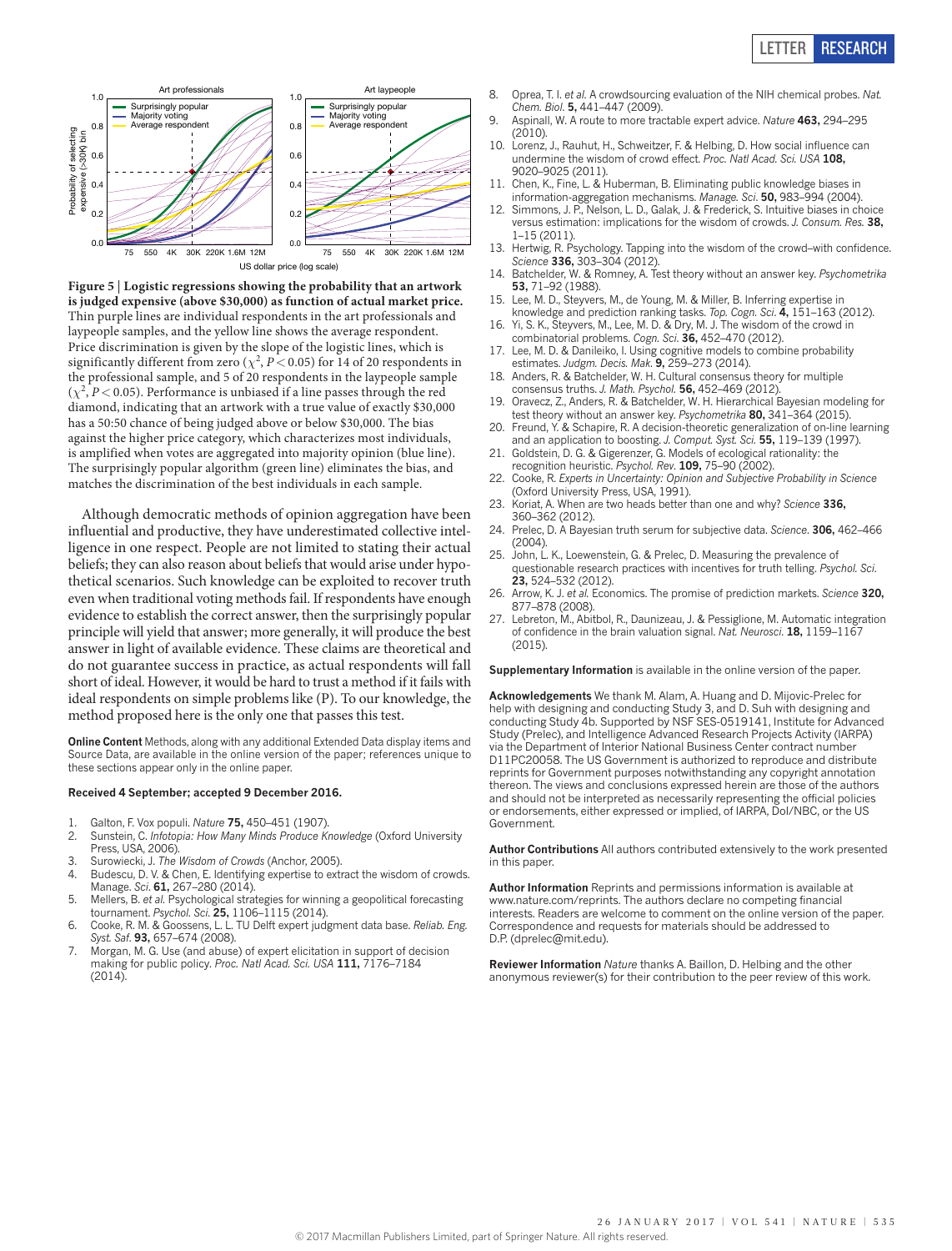

**Figure 5** | **Logistic regressions showing the probability that an artwork is judged expensive (above \$30,000) as function of actual market price.**  Thin purple lines are individual respondents in the art professionals and laypeople samples, and the yellow line shows the average respondent. Price discrimination is given by the slope of the logistic lines, which is significantly different from zero ( $\chi^2$ ,  $P$  < 0.05) for 14 of 20 respondents in the professional sample, and 5 of 20 respondents in the laypeople sample  $(\chi^2, P < 0.05)$ . Performance is unbiased if a line passes through the red diamond, indicating that an artwork with a true value of exactly \$30,000 has a 50:50 chance of being judged above or below \$30,000. The bias against the higher price category, which characterizes most individuals, is amplified when votes are aggregated into majority opinion (blue line). The surprisingly popular algorithm (green line) eliminates the bias, and matches the discrimination of the best individuals in each sample.

Although democratic methods of opinion aggregation have been influential and productive, they have underestimated collective intelligence in one respect. People are not limited to stating their actual beliefs; they can also reason about beliefs that would arise under hypothetical scenarios. Such knowledge can be exploited to recover truth even when traditional voting methods fail. If respondents have enough evidence to establish the correct answer, then the surprisingly popular principle will yield that answer; more generally, it will produce the best answer in light of available evidence. These claims are theoretical and do not guarantee success in practice, as actual respondents will fall short of ideal. However, it would be hard to trust a method if it fails with ideal respondents on simple problems like (P). To our knowledge, the method proposed here is the only one that passes this test.

**Online Content** Methods, along with any additional Extended Data display items and Source Data, are available in the online version of the paper; references unique to these sections appear only in the online paper.

#### **Received 4 September; accepted 9 December 2016.**

- 1. Galton, F. Vox populi. *Nature* **75,** 450–451 (1907).
- 2. Sunstein, C. *Infotopia: How Many Minds Produce Knowledge* (Oxford University Press, USA, 2006).
- 3. Surowiecki, J. *The Wisdom of Crowds* (Anchor, 2005).
- Budescu, D. V. & Chen, E. Identifying expertise to extract the wisdom of crowds. Manage. *Sci*. **61,** 267–280 (2014).
- 5. Mellers, B. *et al.* Psychological strategies for winning a geopolitical forecasting tournament. *Psychol. Sci*. **25,** 1106–1115 (2014).
- 6. Cooke, R. M. & Goossens, L. L. TU Delft expert judgment data base. *Reliab. Eng. Syst. Saf*. **93,** 657–674 (2008).
- 7. Morgan, M. G. Use (and abuse) of expert elicitation in support of decision making for public policy. *Proc. Natl Acad. Sci. USA* **111,** 7176–7184  $(2014)$
- 8. Oprea, T. I. *et al.* A crowdsourcing evaluation of the NIH chemical probes. *Nat. Chem. Biol*. **5,** 441–447 (2009).
- 9. Aspinall, W. A route to more tractable expert advice. *Nature* **463,** 294–295  $(2010)$
- 10. Lorenz, J., Rauhut, H., Schweitzer, F. & Helbing, D. How social infuence can undermine the wisdom of crowd efect. *Proc. Natl Acad. Sci. USA* **108,** 9020–9025 (2011).
- 11. Chen, K., Fine, L. & Huberman, B. Eliminating public knowledge biases in information-aggregation mechanisms. *Manage. Sci*. **50,** 983–994 (2004).
- 12. Simmons, J. P., Nelson, L. D., Galak, J. & Frederick, S. Intuitive biases in choice versus estimation: implications for the wisdom of crowds. *J. Consum. Res.* **38,** 1–15 (2011).
- 13. Hertwig, R. Psychology. Tapping into the wisdom of the crowd–with confdence. *Science* **336,** 303–304 (2012).
- 14. Batchelder, W. & Romney, A. Test theory without an answer key. *Psychometrika* **53,** 71–92 (1988).
- 15. Lee, M. D., Steyvers, M., de Young, M. & Miller, B. Inferring expertise in knowledge and prediction ranking tasks. *Top. Cogn. Sci*. **4,** 151–163 (2012).
- 16. Yi, S. K., Steyvers, M., Lee, M. D. & Dry, M. J. The wisdom of the crowd in combinatorial problems. *Cogn. Sci*. **36,** 452–470 (2012).
- 17. Lee, M. D. & Danileiko, I. Using cognitive models to combine probability estimates. *Judgm. Decis. Mak*. **9,** 259–273 (2014).
- 18. Anders, R. & Batchelder, W. H. Cultural consensus theory for multiple consensus truths. *J. Math. Psychol.* **56,** 452–469 (2012).
- 19. Oravecz, Z., Anders, R. & Batchelder, W. H. Hierarchical Bayesian modeling for test theory without an answer key. *Psychometrika* **80,** 341–364 (2015).
- 20. Freund, Y. & Schapire, R. A decision-theoretic generalization of on-line learning and an application to boosting. *J. Comput. Syst. Sci.* **55,** 119–139 (1997).
- 21. Goldstein, D. G. & Gigerenzer, G. Models of ecological rationality: the recognition heuristic. *Psychol. Rev*. **109,** 75–90 (2002).
- 22. Cooke, R. *Experts in Uncertainty: Opinion and Subjective Probability in Science*  (Oxford University Press, USA, 1991).
- 23. Koriat, A. When are two heads better than one and why? *Science* **336,** 360–362 (2012).
- 24. Prelec, D. A Bayesian truth serum for subjective data. *Science*. **306,** 462–466  $(2004)$
- 25. John, L. K., Loewenstein, G. & Prelec, D. Measuring the prevalence of questionable research practices with incentives for truth telling. *Psychol. Sci*. **23,** 524–532 (2012).
- 26. Arrow, K. J. *et al.* Economics. The promise of prediction markets. *Science* **320,** 877–878 (2008).
- 27. Lebreton, M., Abitbol, R., Daunizeau, J. & Pessiglione, M. Automatic integration of confdence in the brain valuation signal. *Nat. Neurosci*. **18,** 1159–1167 (2015).

**Supplementary Information** is available in the online version of the paper.

**Acknowledgements** We thank M. Alam, A. Huang and D. Mijovic-Prelec for help with designing and conducting Study 3, and D. Suh with designing and conducting Study 4b. Supported by NSF SES-0519141, Institute for Advanced Study (Prelec), and Intelligence Advanced Research Projects Activity (IARPA) via the Department of Interior National Business Center contract number D11PC20058. The US Government is authorized to reproduce and distribute reprints for Government purposes notwithstanding any copyright annotation thereon. The views and conclusions expressed herein are those of the authors and should not be interpreted as necessarily representing the official policies or endorsements, either expressed or implied, of IARPA, DoI/NBC, or the US Government.

**Author Contributions** All authors contributed extensively to the work presented in this paper.

**Author Information** Reprints and permissions information is available at www.nature.com/reprints. The authors declare no competing financial interests. Readers are welcome to comment on the online version of the paper. Correspondence and requests for materials should be addressed to D.P. (dprelec@mit.edu).

**Reviewer Information** *Nature* thanks A. Baillon, D. Helbing and the other anonymous reviewer(s) for their contribution to the peer review of this work.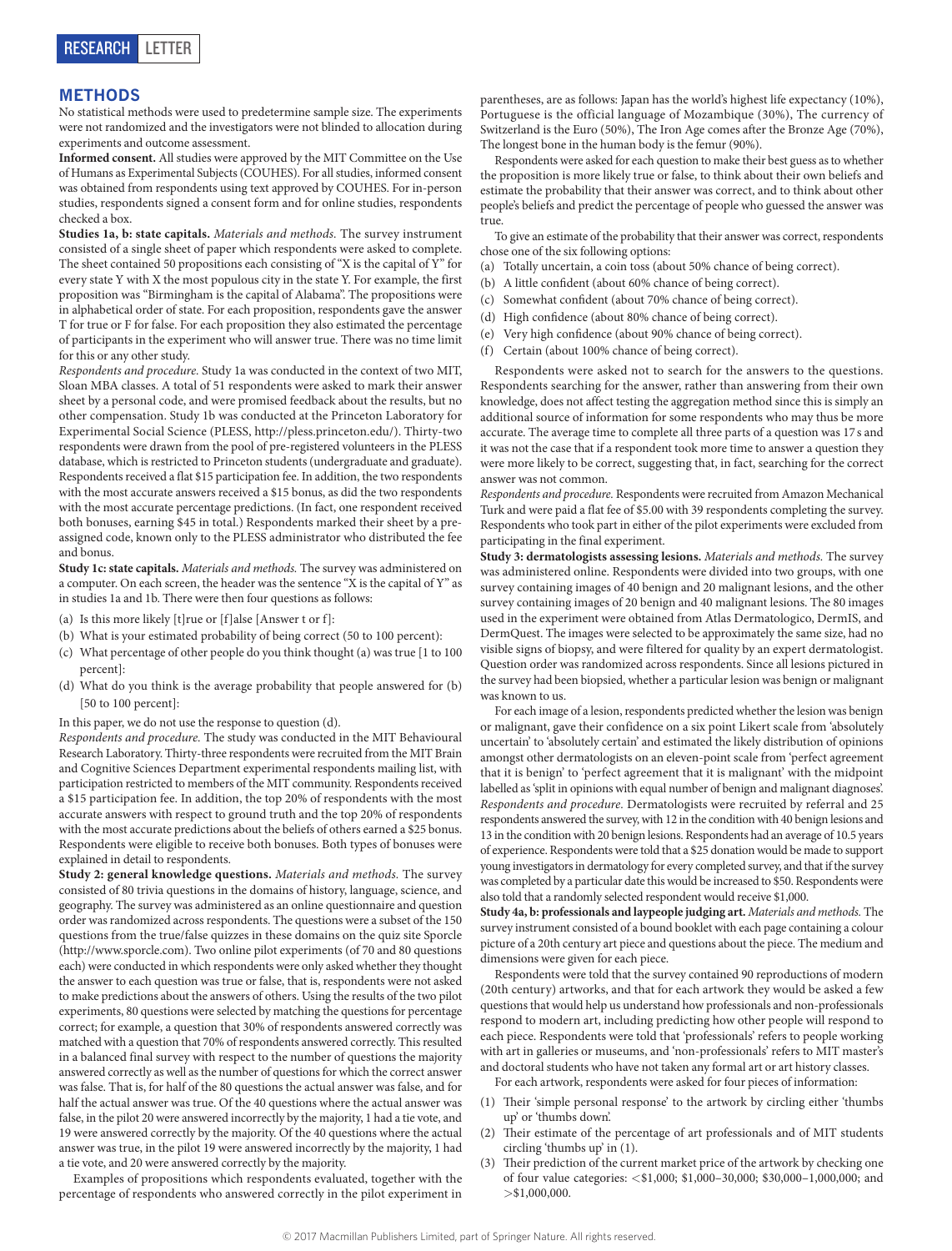#### **METHODS**

No statistical methods were used to predetermine sample size. The experiments were not randomized and the investigators were not blinded to allocation during experiments and outcome assessment.

**Informed consent.** All studies were approved by the MIT Committee on the Use of Humans as Experimental Subjects (COUHES). For all studies, informed consent was obtained from respondents using text approved by COUHES. For in-person studies, respondents signed a consent form and for online studies, respondents checked a box.

**Studies 1a, b: state capitals.** Materials and methods. The survey instrument consisted of a single sheet of paper which respondents were asked to complete. The sheet contained 50 propositions each consisting of "X is the capital of Y" for every state Y with X the most populous city in the state Y. For example, the first proposition was "Birmingham is the capital of Alabama". The propositions were in alphabetical order of state. For each proposition, respondents gave the answer T for true or F for false. For each proposition they also estimated the percentage of participants in the experiment who will answer true. There was no time limit for this or any other study.

Respondents and procedure. Study 1a was conducted in the context of two MIT, Sloan MBA classes. A total of 51 respondents were asked to mark their answer sheet by a personal code, and were promised feedback about the results, but no other compensation. Study 1b was conducted at the Princeton Laboratory for Experimental Social Science (PLESS, http://pless.princeton.edu/). Thirty-two respondents were drawn from the pool of pre-registered volunteers in the PLESS database, which is restricted to Princeton students (undergraduate and graduate). Respondents received a flat \$15 participation fee. In addition, the two respondents with the most accurate answers received a \$15 bonus, as did the two respondents with the most accurate percentage predictions. (In fact, one respondent received both bonuses, earning \$45 in total.) Respondents marked their sheet by a preassigned code, known only to the PLESS administrator who distributed the fee and bonus.

**Study 1c: state capitals.** Materials and methods. The survey was administered on a computer. On each screen, the header was the sentence "X is the capital of Y" as in studies 1a and 1b. There were then four questions as follows:

- (a) Is this more likely [t]rue or [f]alse [Answer t or f]:
- (b) What is your estimated probability of being correct (50 to 100 percent):
- (c) What percentage of other people do you think thought (a) was true [1 to 100 percent]:
- (d) What do you think is the average probability that people answered for (b) [50 to 100 percent]:

In this paper, we do not use the response to question (d).

Respondents and procedure. The study was conducted in the MIT Behavioural Research Laboratory. Thirty-three respondents were recruited from the MIT Brain and Cognitive Sciences Department experimental respondents mailing list, with participation restricted to members of the MIT community. Respondents received a \$15 participation fee. In addition, the top 20% of respondents with the most accurate answers with respect to ground truth and the top 20% of respondents with the most accurate predictions about the beliefs of others earned a \$25 bonus. Respondents were eligible to receive both bonuses. Both types of bonuses were explained in detail to respondents.

**Study 2: general knowledge questions.** Materials and methods. The survey consisted of 80 trivia questions in the domains of history, language, science, and geography. The survey was administered as an online questionnaire and question order was randomized across respondents. The questions were a subset of the 150 questions from the true/false quizzes in these domains on the quiz site Sporcle (http://www.sporcle.com). Two online pilot experiments (of 70 and 80 questions each) were conducted in which respondents were only asked whether they thought the answer to each question was true or false, that is, respondents were not asked to make predictions about the answers of others. Using the results of the two pilot experiments, 80 questions were selected by matching the questions for percentage correct; for example, a question that 30% of respondents answered correctly was matched with a question that 70% of respondents answered correctly. This resulted in a balanced final survey with respect to the number of questions the majority answered correctly as well as the number of questions for which the correct answer was false. That is, for half of the 80 questions the actual answer was false, and for half the actual answer was true. Of the 40 questions where the actual answer was false, in the pilot 20 were answered incorrectly by the majority, 1 had a tie vote, and 19 were answered correctly by the majority. Of the 40 questions where the actual answer was true, in the pilot 19 were answered incorrectly by the majority, 1 had a tie vote, and 20 were answered correctly by the majority.

Examples of propositions which respondents evaluated, together with the percentage of respondents who answered correctly in the pilot experiment in

parentheses, are as follows: Japan has the world's highest life expectancy (10%), Portuguese is the official language of Mozambique (30%), The currency of Switzerland is the Euro (50%), The Iron Age comes after the Bronze Age (70%), The longest bone in the human body is the femur (90%).

Respondents were asked for each question to make their best guess as to whether the proposition is more likely true or false, to think about their own beliefs and estimate the probability that their answer was correct, and to think about other people's beliefs and predict the percentage of people who guessed the answer was true.

To give an estimate of the probability that their answer was correct, respondents chose one of the six following options:

- (a) Totally uncertain, a coin toss (about 50% chance of being correct).
- (b) A little confdent (about 60% chance of being correct).
- (c) Somewhat confdent (about 70% chance of being correct).
- (d) High confdence (about 80% chance of being correct).
- (e) Very high confdence (about 90% chance of being correct).
- (f) Certain (about 100% chance of being correct).

Respondents were asked not to search for the answers to the questions. Respondents searching for the answer, rather than answering from their own knowledge, does not affect testing the aggregation method since this is simply an additional source of information for some respondents who may thus be more accurate. The average time to complete all three parts of a question was 17s and it was not the case that if a respondent took more time to answer a question they were more likely to be correct, suggesting that, in fact, searching for the correct answer was not common.

Respondents and procedure. Respondents were recruited from Amazon Mechanical Turk and were paid a flat fee of \$5.00 with 39 respondents completing the survey. Respondents who took part in either of the pilot experiments were excluded from participating in the final experiment.

**Study 3: dermatologists assessing lesions.** Materials and methods. The survey was administered online. Respondents were divided into two groups, with one survey containing images of 40 benign and 20 malignant lesions, and the other survey containing images of 20 benign and 40 malignant lesions. The 80 images used in the experiment were obtained from Atlas Dermatologico, DermIS, and DermQuest. The images were selected to be approximately the same size, had no visible signs of biopsy, and were filtered for quality by an expert dermatologist. Question order was randomized across respondents. Since all lesions pictured in the survey had been biopsied, whether a particular lesion was benign or malignant was known to us.

For each image of a lesion, respondents predicted whether the lesion was benign or malignant, gave their confidence on a six point Likert scale from 'absolutely uncertain' to 'absolutely certain' and estimated the likely distribution of opinions amongst other dermatologists on an eleven-point scale from 'perfect agreement that it is benign' to 'perfect agreement that it is malignant' with the midpoint labelled as 'split in opinions with equal number of benign and malignant diagnoses'. Respondents and procedure. Dermatologists were recruited by referral and 25 respondents answered the survey, with 12 in the condition with 40 benign lesions and 13 in the condition with 20 benign lesions. Respondents had an average of 10.5 years of experience. Respondents were told that a \$25 donation would be made to support young investigators in dermatology for every completed survey, and that if the survey was completed by a particular date this would be increased to \$50. Respondents were also told that a randomly selected respondent would receive \$1,000.

**Study 4a, b: professionals and laypeople judging art.** Materials and methods. The survey instrument consisted of a bound booklet with each page containing a colour picture of a 20th century art piece and questions about the piece. The medium and dimensions were given for each piece.

Respondents were told that the survey contained 90 reproductions of modern (20th century) artworks, and that for each artwork they would be asked a few questions that would help us understand how professionals and non-professionals respond to modern art, including predicting how other people will respond to each piece. Respondents were told that 'professionals' refers to people working with art in galleries or museums, and 'non-professionals' refers to MIT master's and doctoral students who have not taken any formal art or art history classes.

For each artwork, respondents were asked for four pieces of information:

- (1) Their 'simple personal response' to the artwork by circling either 'thumbs up' or 'thumbs down'.
- Their estimate of the percentage of art professionals and of MIT students circling 'thumbs up' in (1).
- Their prediction of the current market price of the artwork by checking one of four value categories: <\$1,000; \$1,000–30,000; \$30,000–1,000,000; and  $>$ \$1,000,000.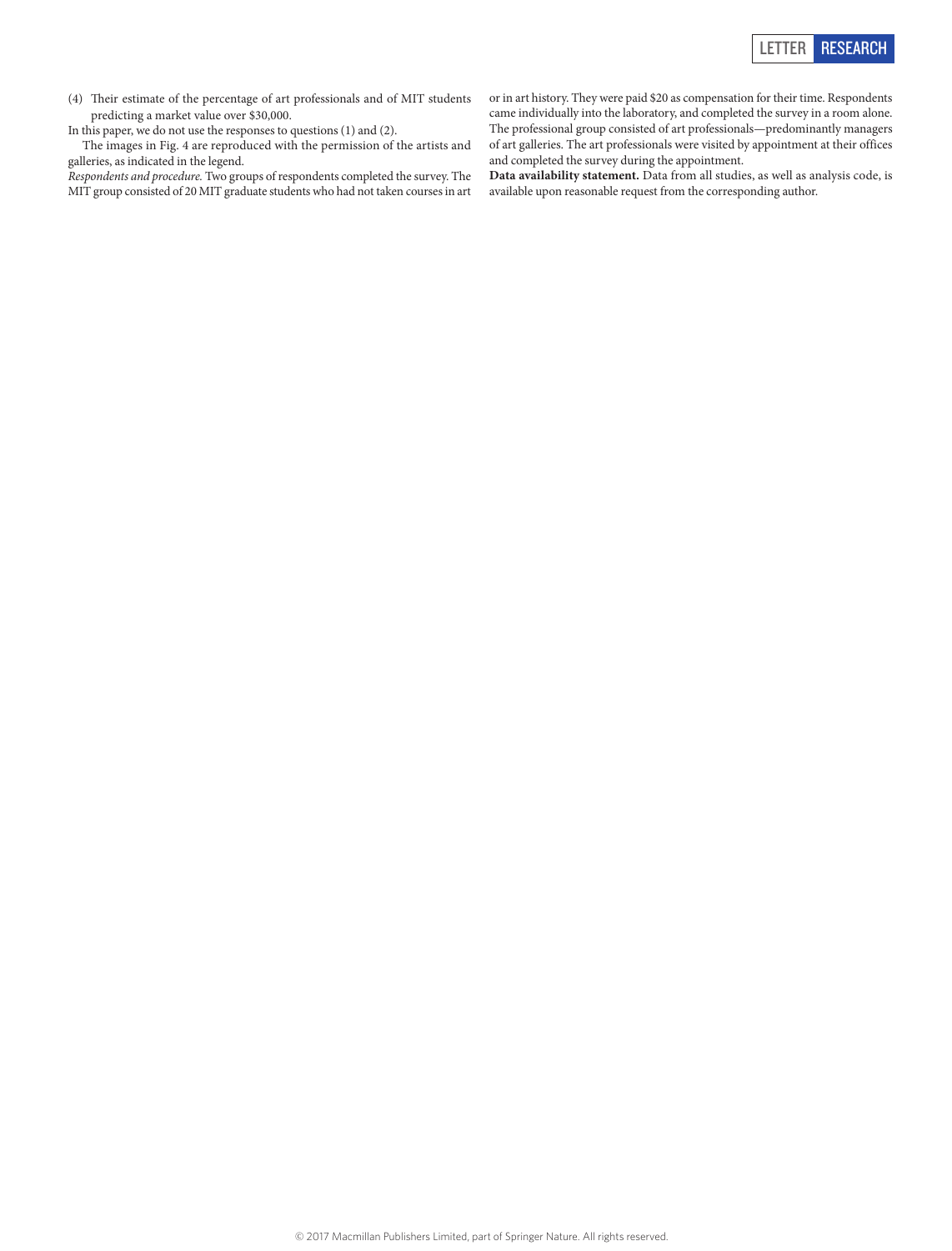(4) Their estimate of the percentage of art professionals and of MIT students predicting a market value over \$30,000.

In this paper, we do not use the responses to questions (1) and (2).

The images in Fig. 4 are reproduced with the permission of the artists and galleries, as indicated in the legend.

Respondents and procedure. Two groups of respondents completed the survey. The MIT group consisted of 20 MIT graduate students who had not taken courses in art or in art history. They were paid \$20 as compensation for their time. Respondents came individually into the laboratory, and completed the survey in a room alone. The professional group consisted of art professionals—predominantly managers of art galleries. The art professionals were visited by appointment at their offices and completed the survey during the appointment.

**Data availability statement.** Data from all studies, as well as analysis code, is available upon reasonable request from the corresponding author.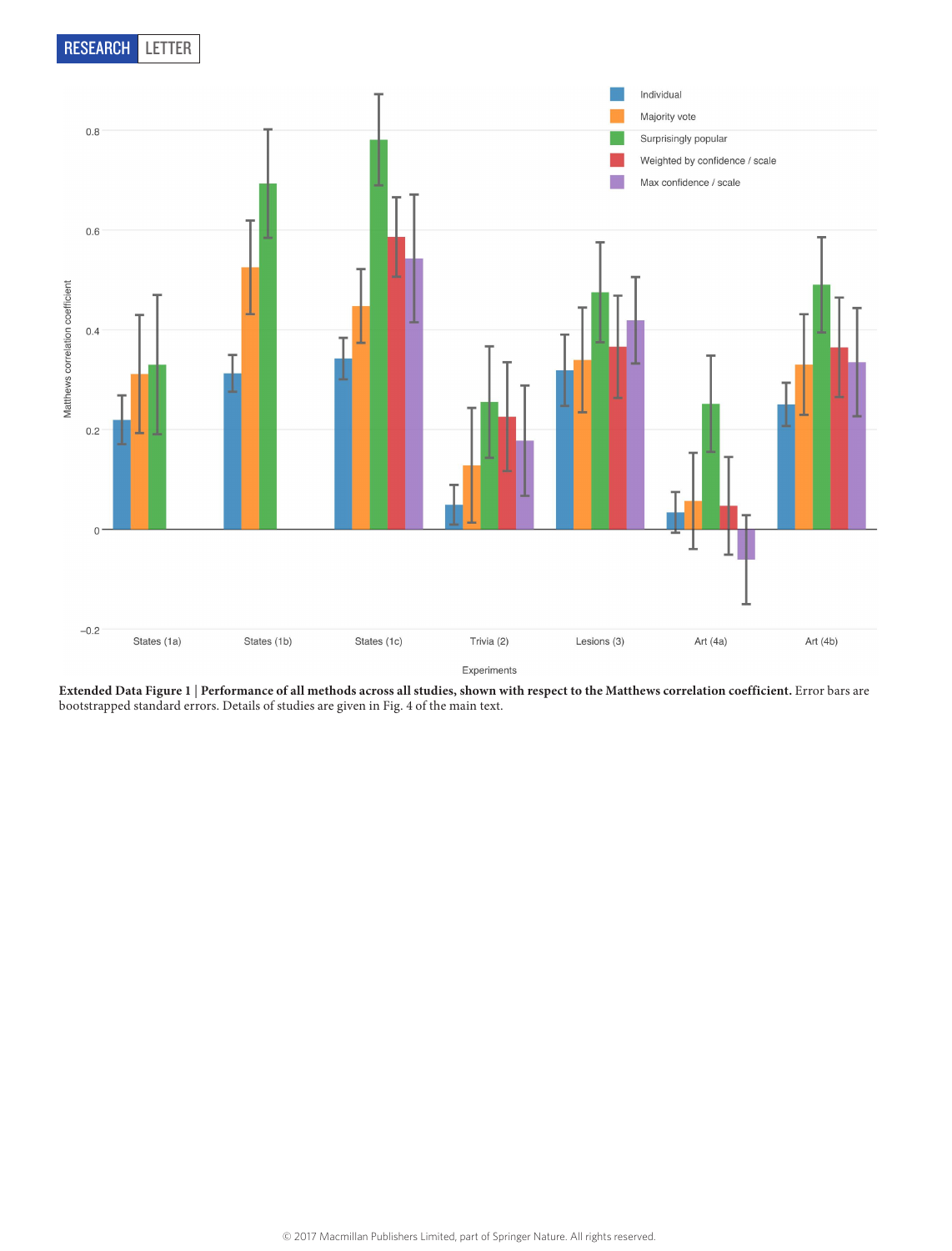

Experiments

**Extended Data Figure 1** | **Performance of all methods across all studies, shown with respect to the Matthews correlation coefficient.** Error bars are bootstrapped standard errors. Details of studies are given in Fig. 4 of the main text.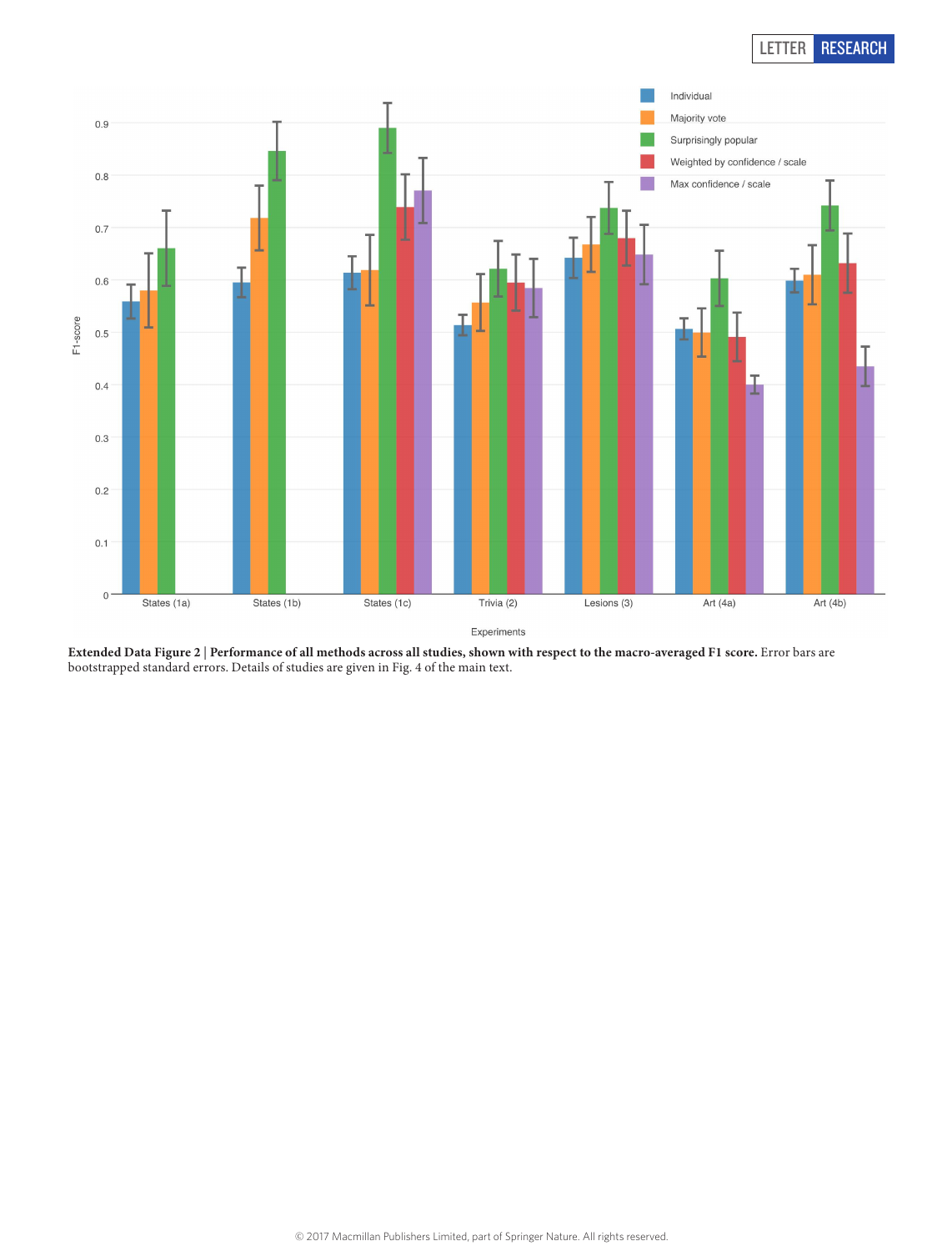## LETTER RESEARCH



**Extended Data Figure 2** | **Performance of all methods across all studies, shown with respect to the macro-averaged F1 score.** Error bars are bootstrapped standard errors. Details of studies are given in Fig. 4 of the main text.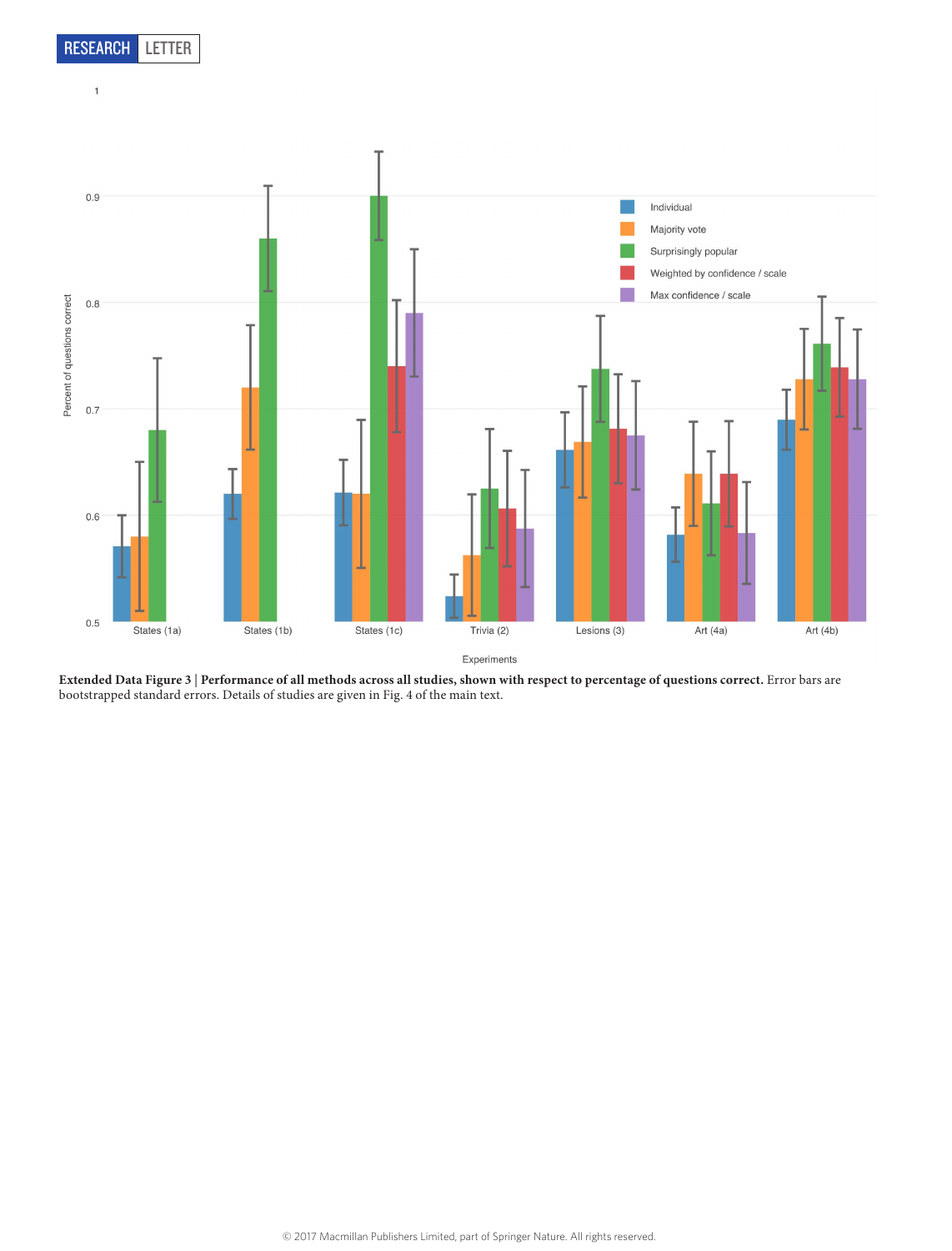$\overline{1}$ 



**Extended Data Figure 3** | **Performance of all methods across all studies, shown with respect to percentage of questions correct.** Error bars are bootstrapped standard errors. Details of studies are given in Fig. 4 of the main text.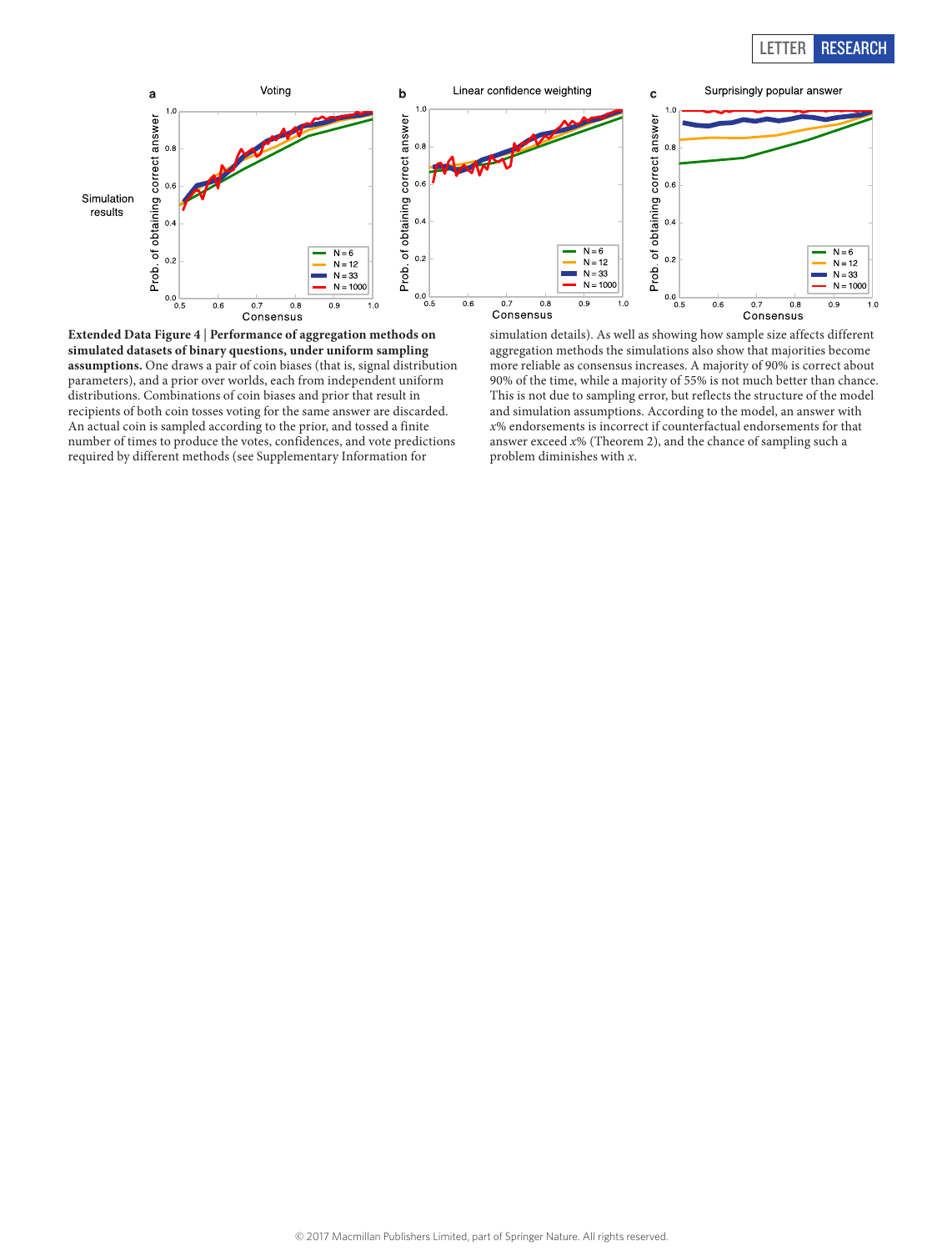## LETTER RESEARCH



**Extended Data Figure 4** | **Performance of aggregation methods on simulated datasets of binary questions, under uniform sampling assumptions.** One draws a pair of coin biases (that is, signal distribution parameters), and a prior over worlds, each from independent uniform distributions. Combinations of coin biases and prior that result in recipients of both coin tosses voting for the same answer are discarded. An actual coin is sampled according to the prior, and tossed a finite number of times to produce the votes, confidences, and vote predictions required by different methods (see Supplementary Information for

simulation details). As well as showing how sample size affects different aggregation methods the simulations also show that majorities become more reliable as consensus increases. A majority of 90% is correct about 90% of the time, while a majority of 55% is not much better than chance. This is not due to sampling error, but reflects the structure of the model and simulation assumptions. According to the model, an answer with x% endorsements is incorrect if counterfactual endorsements for that answer exceed  $x\%$  (Theorem 2), and the chance of sampling such a problem diminishes with x.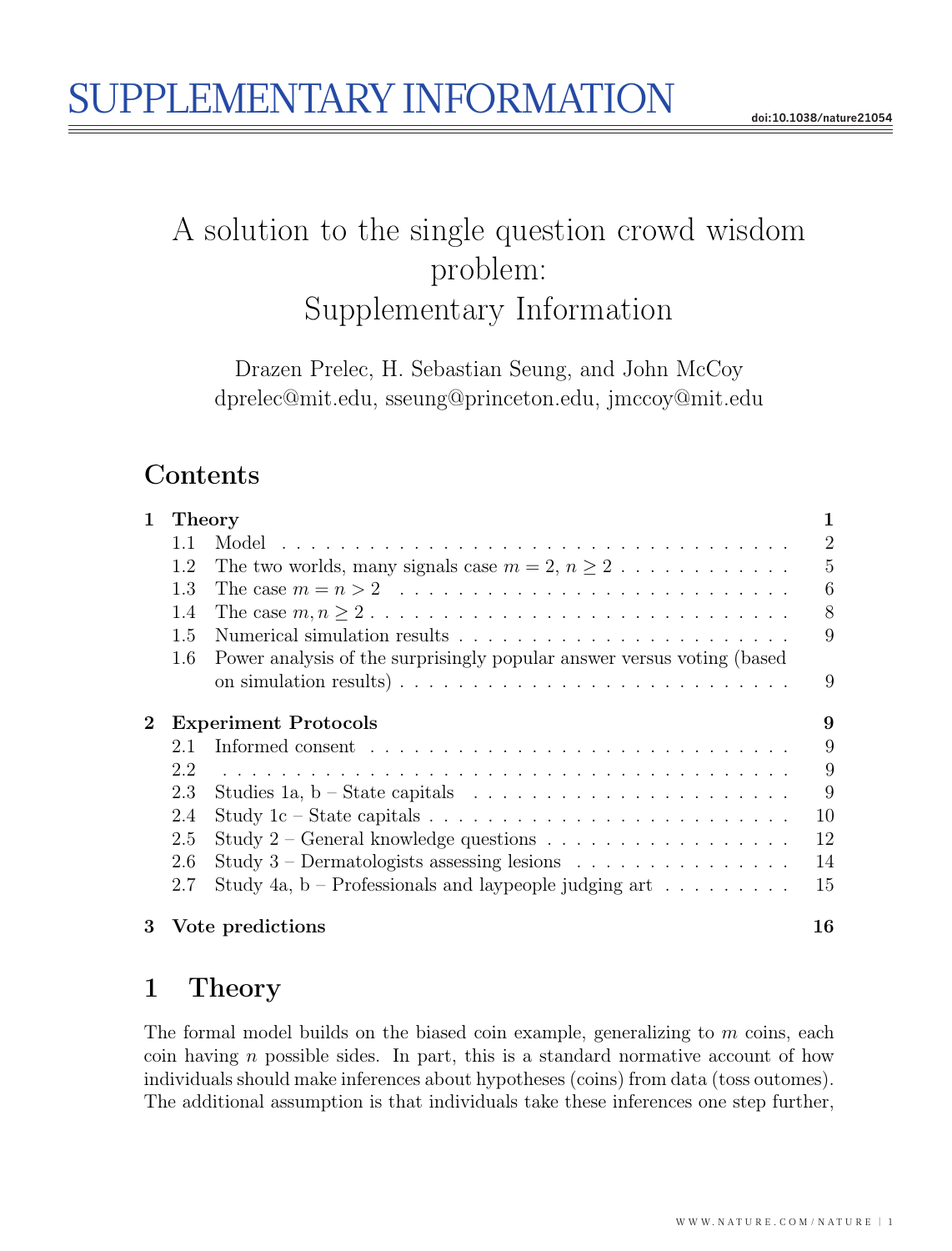# A solution to the single question crowd wisdom problem: Supplementary Information

Drazen Prelec, H. Sebastian Seung, and John McCoy dprelec@mit.edu, sseung@princeton.edu, jmccoy@mit.edu

# Contents

| $\mathbf 1$ | <b>Theory</b>                    |                                                                                     |                |  |
|-------------|----------------------------------|-------------------------------------------------------------------------------------|----------------|--|
|             | 1.1                              |                                                                                     | 2              |  |
|             | 1.2                              | The two worlds, many signals case $m = 2, n \ge 2$                                  | $\overline{5}$ |  |
|             | 1.3                              |                                                                                     | 6              |  |
|             | 1.4                              |                                                                                     | 8              |  |
|             | 1.5                              |                                                                                     | 9              |  |
|             | 1.6                              | Power analysis of the surprisingly popular answer versus voting (based)             | 9              |  |
| $2\,$       | <b>Experiment Protocols</b><br>9 |                                                                                     |                |  |
|             | 2.1                              |                                                                                     | 9              |  |
|             | 2.2                              |                                                                                     | 9              |  |
|             | 2.3                              | Studies 1a, b – State capitals $\ldots \ldots \ldots \ldots \ldots \ldots \ldots$   | 9              |  |
|             | 2.4                              | Study 1c – State capitals $\ldots \ldots \ldots \ldots \ldots \ldots \ldots \ldots$ | 10             |  |
|             | 2.5                              | Study 2 – General knowledge questions $\ldots \ldots \ldots \ldots \ldots \ldots$   | 12             |  |
|             | 2.6                              | Study $3$ – Dermatologists assessing lesions                                        | 14             |  |
|             | 2.7                              | Study 4a, $b$ – Professionals and laypeople judging art                             | 15             |  |
| 3           |                                  | Vote predictions                                                                    | 16             |  |

# 1 Theory

The formal model builds on the biased coin example, generalizing to  $m$  coins, each coin having n possible sides. In part, this is a standard normative account of how individuals should make inferences about hypotheses (coins) from data (toss outomes). The additional assumption is that individuals take these inferences one step further,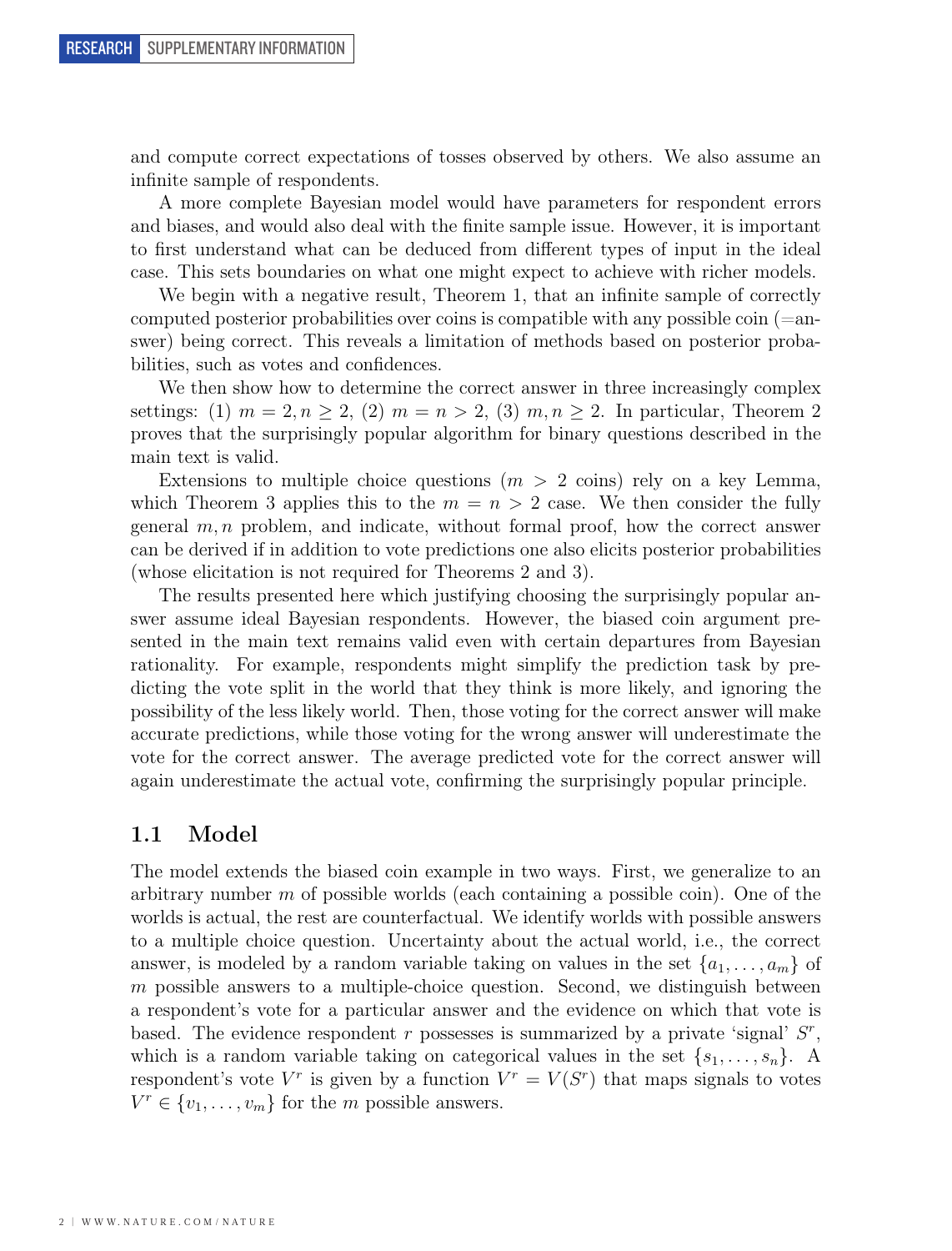and compute correct expectations of tosses observed by others. We also assume an infinite sample of respondents.

A more complete Bayesian model would have parameters for respondent errors and biases, and would also deal with the finite sample issue. However, it is important to first understand what can be deduced from different types of input in the ideal case. This sets boundaries on what one might expect to achieve with richer models.

We begin with a negative result, Theorem 1, that an infinite sample of correctly computed posterior probabilities over coins is compatible with any possible coin  $(=an$ swer) being correct. This reveals a limitation of methods based on posterior probabilities, such as votes and confidences.

We then show how to determine the correct answer in three increasingly complex settings: (1)  $m = 2, n > 2, (2)$   $m = n > 2, (3)$   $m, n > 2$ . In particular, Theorem 2 proves that the surprisingly popular algorithm for binary questions described in the main text is valid.

Extensions to multiple choice questions  $(m > 2 \text{ coins})$  rely on a key Lemma, which Theorem 3 applies this to the  $m = n > 2$  case. We then consider the fully general  $m, n$  problem, and indicate, without formal proof, how the correct answer can be derived if in addition to vote predictions one also elicits posterior probabilities (whose elicitation is not required for Theorems 2 and 3).

The results presented here which justifying choosing the surprisingly popular answer assume ideal Bayesian respondents. However, the biased coin argument presented in the main text remains valid even with certain departures from Bayesian rationality. For example, respondents might simplify the prediction task by predicting the vote split in the world that they think is more likely, and ignoring the possibility of the less likely world. Then, those voting for the correct answer will make accurate predictions, while those voting for the wrong answer will underestimate the vote for the correct answer. The average predicted vote for the correct answer will again underestimate the actual vote, confirming the surprisingly popular principle.

#### 1.1 Model

The model extends the biased coin example in two ways. First, we generalize to an arbitrary number  $m$  of possible worlds (each containing a possible coin). One of the worlds is actual, the rest are counterfactual. We identify worlds with possible answers to a multiple choice question. Uncertainty about the actual world, i.e., the correct answer, is modeled by a random variable taking on values in the set  $\{a_1,\ldots,a_m\}$  of m possible answers to a multiple-choice question. Second, we distinguish between a respondent's vote for a particular answer and the evidence on which that vote is based. The evidence respondent r possesses is summarized by a private 'signal'  $S^r$ , which is a random variable taking on categorical values in the set  $\{s_1,\ldots,s_n\}$ . A respondent's vote  $V^r$  is given by a function  $V^r = V(S^r)$  that maps signals to votes  $V^r \in \{v_1, \ldots, v_m\}$  for the m possible answers.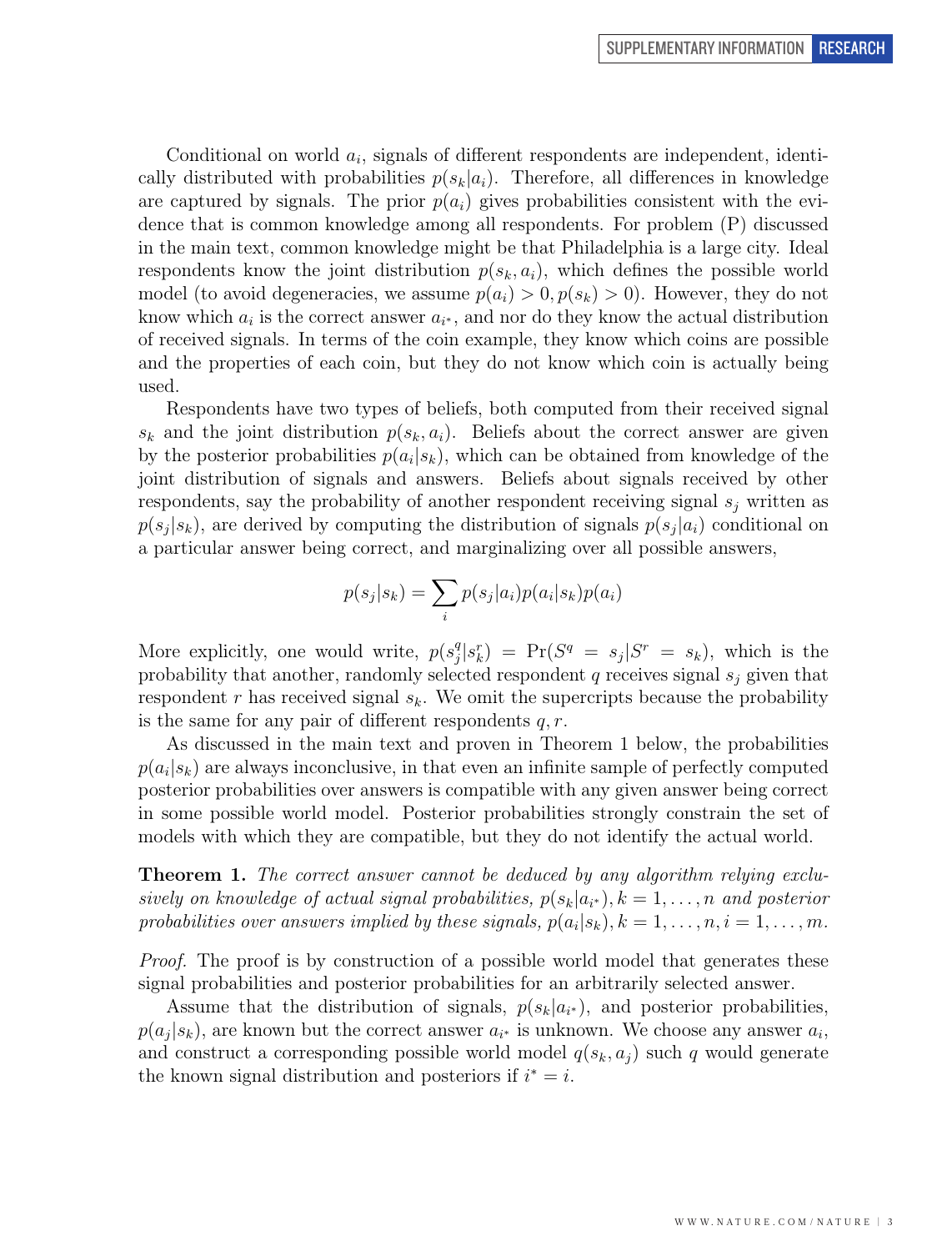Conditional on world  $a_i$ , signals of different respondents are independent, identically distributed with probabilities  $p(s_k|a_i)$ . Therefore, all differences in knowledge are captured by signals. The prior  $p(a_i)$  gives probabilities consistent with the evidence that is common knowledge among all respondents. For problem (P) discussed in the main text, common knowledge might be that Philadelphia is a large city. Ideal respondents know the joint distribution  $p(s_k, a_i)$ , which defines the possible world model (to avoid degeneracies, we assume  $p(a_i) > 0, p(s_k) > 0$ ). However, they do not know which  $a_i$  is the correct answer  $a_{i^*}$ , and nor do they know the actual distribution of received signals. In terms of the coin example, they know which coins are possible and the properties of each coin, but they do not know which coin is actually being used.

Respondents have two types of beliefs, both computed from their received signal  $s_k$  and the joint distribution  $p(s_k, a_i)$ . Beliefs about the correct answer are given by the posterior probabilities  $p(a_i|s_k)$ , which can be obtained from knowledge of the joint distribution of signals and answers. Beliefs about signals received by other respondents, say the probability of another respondent receiving signal  $s_j$  written as  $p(s_i | s_k)$ , are derived by computing the distribution of signals  $p(s_i | a_i)$  conditional on a particular answer being correct, and marginalizing over all possible answers,

$$
p(s_j|s_k) = \sum_i p(s_j|a_i) p(a_i|s_k) p(a_i)
$$

More explicitly, one would write,  $p(s_j^q | s_k^r) = Pr(S^q = s_j | S^r = s_k)$ , which is the probability that another, randomly selected respondent  $q$  receives signal  $s_i$  given that respondent r has received signal  $s_k$ . We omit the supercripts because the probability is the same for any pair of different respondents  $q, r$ .

As discussed in the main text and proven in Theorem 1 below, the probabilities  $p(a_i|s_k)$  are always inconclusive, in that even an infinite sample of perfectly computed posterior probabilities over answers is compatible with any given answer being correct in some possible world model. Posterior probabilities strongly constrain the set of models with which they are compatible, but they do not identify the actual world.

Theorem 1. The correct answer cannot be deduced by any algorithm relying exclusively on knowledge of actual signal probabilities,  $p(s_k|a_{i^*}), k = 1, \ldots, n$  and posterior probabilities over answers implied by these signals,  $p(a_i|s_k)$ ,  $k = 1, \ldots, n, i = 1, \ldots, m$ .

Proof. The proof is by construction of a possible world model that generates these signal probabilities and posterior probabilities for an arbitrarily selected answer.

Assume that the distribution of signals,  $p(s_k|a_{i^*})$ , and posterior probabilities,  $p(a_j | s_k)$ , are known but the correct answer  $a_{i^*}$  is unknown. We choose any answer  $a_i$ , and construct a corresponding possible world model  $q(s_k, a_i)$  such q would generate the known signal distribution and posteriors if  $i^* = i$ .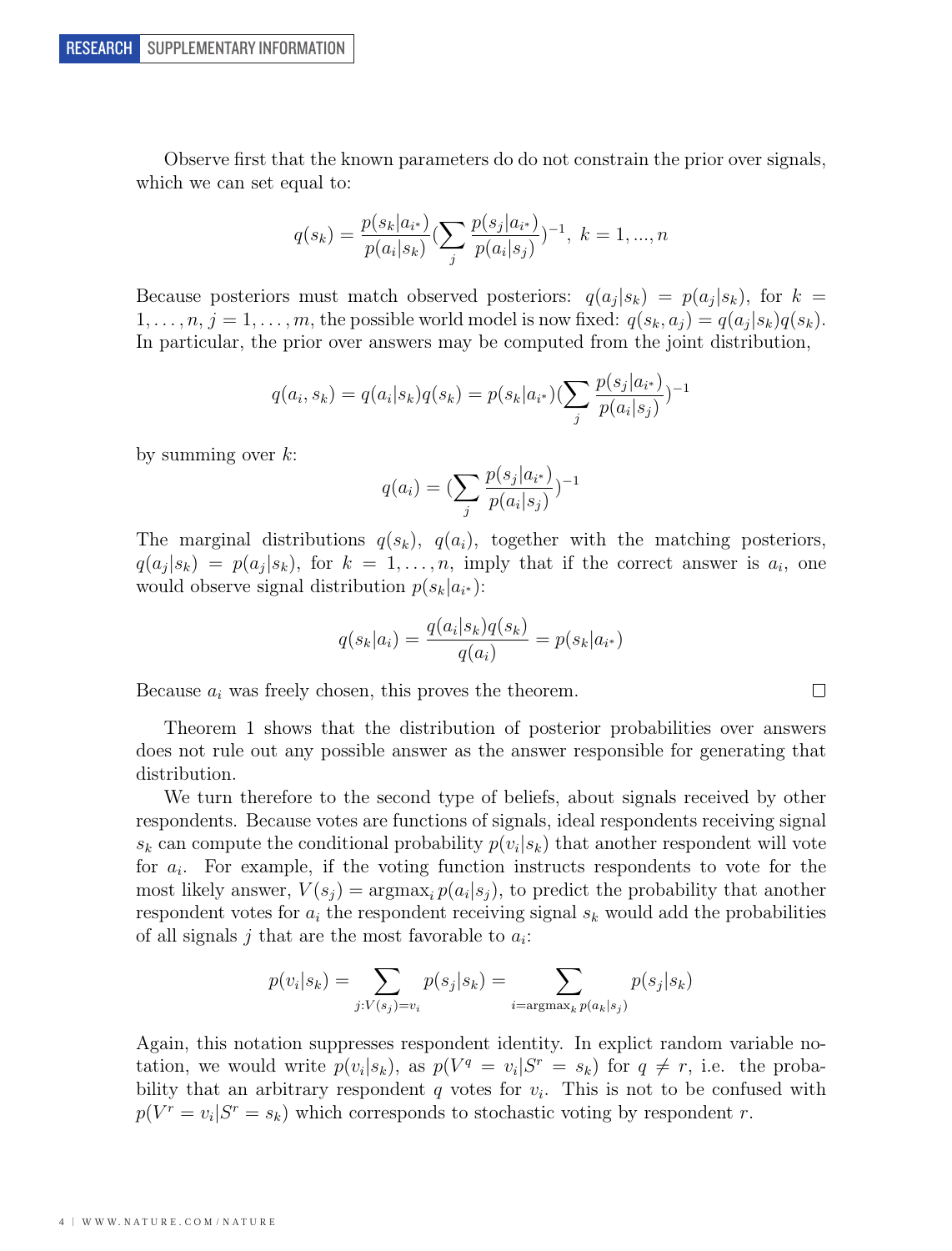Observe first that the known parameters do do not constrain the prior over signals, which we can set equal to:

$$
q(s_k) = \frac{p(s_k|a_{i^*})}{p(a_i|s_k)} \left(\sum_j \frac{p(s_j|a_{i^*})}{p(a_i|s_j)}\right)^{-1}, \ k = 1, ..., n
$$

Because posteriors must match observed posteriors:  $q(a_i | s_k) = p(a_i | s_k)$ , for  $k =$  $1,\ldots,n, j = 1,\ldots,m$ , the possible world model is now fixed:  $q(s_k, a_j) = q(a_j|s_k)q(s_k)$ . In particular, the prior over answers may be computed from the joint distribution,

$$
q(a_i, s_k) = q(a_i|s_k)q(s_k) = p(s_k|a_{i^*})\left(\sum_j \frac{p(s_j|a_{i^*})}{p(a_i|s_j)}\right)^{-1}
$$

by summing over  $k$ :

$$
q(a_i) = (\sum_j \frac{p(s_j|a_{i^*})}{p(a_i|s_j)})^{-1}
$$

The marginal distributions  $q(s_k)$ ,  $q(a_i)$ , together with the matching posteriors,  $q(a_i | s_k) = p(a_i | s_k)$ , for  $k = 1, \ldots, n$ , imply that if the correct answer is  $a_i$ , one would observe signal distribution  $p(s_k|a_{i^*})$ :

$$
q(s_k|a_i) = \frac{q(a_i|s_k)q(s_k)}{q(a_i)} = p(s_k|a_{i^*})
$$

Because  $a_i$  was freely chosen, this proves the theorem.

Theorem 1 shows that the distribution of posterior probabilities over answers does not rule out any possible answer as the answer responsible for generating that distribution.

We turn therefore to the second type of beliefs, about signals received by other respondents. Because votes are functions of signals, ideal respondents receiving signal  $s_k$  can compute the conditional probability  $p(v_i|s_k)$  that another respondent will vote for  $a_i$ . For example, if the voting function instructs respondents to vote for the most likely answer,  $V(s_i) = \argmax_i p(a_i|s_i)$ , to predict the probability that another respondent votes for  $a_i$  the respondent receiving signal  $s_k$  would add the probabilities of all signals  $j$  that are the most favorable to  $a_i$ :

$$
p(v_i|s_k) = \sum_{j: V(s_j) = v_i} p(s_j|s_k) = \sum_{i = \text{argmax}_k p(a_k|s_j)} p(s_j|s_k)
$$

Again, this notation suppresses respondent identity. In explict random variable notation, we would write  $p(v_i|s_k)$ , as  $p(V^q = v_i|S^r = s_k)$  for  $q \neq r$ , i.e. the probability that an arbitrary respondent q votes for  $v_i$ . This is not to be confused with  $p(V^r = v_i|S^r = s_k)$  which corresponds to stochastic voting by respondent r.

 $\Box$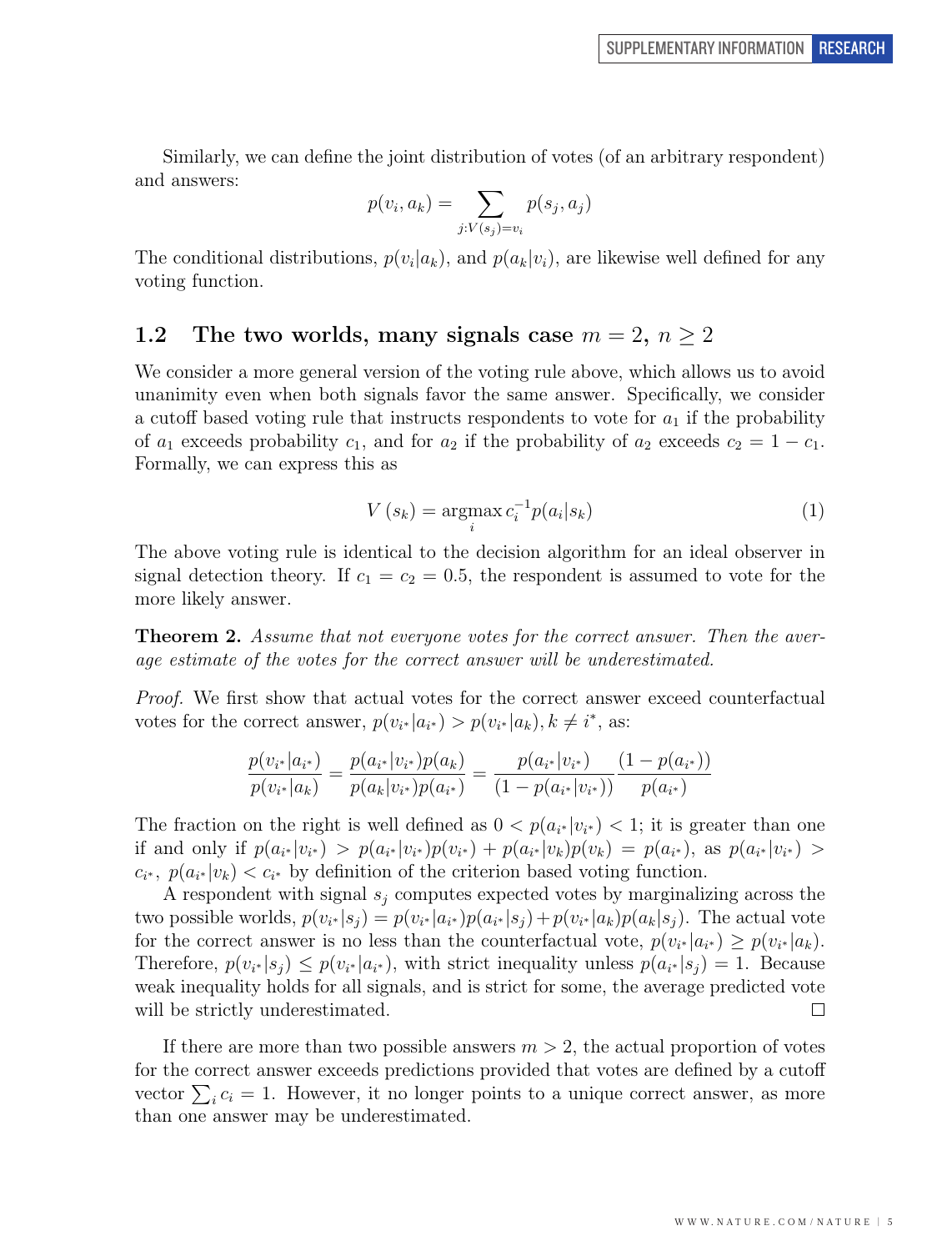Similarly, we can define the joint distribution of votes (of an arbitrary respondent) and answers:

$$
p(v_i, a_k) = \sum_{j: V(s_j) = v_i} p(s_j, a_j)
$$

The conditional distributions,  $p(v_i|a_k)$ , and  $p(a_k|v_i)$ , are likewise well defined for any voting function.

# 1.2 The two worlds, many signals case  $m = 2, n \ge 2$

We consider a more general version of the voting rule above, which allows us to avoid unanimity even when both signals favor the same answer. Specifically, we consider a cutoff based voting rule that instructs respondents to vote for  $a_1$  if the probability of  $a_1$  exceeds probability  $c_1$ , and for  $a_2$  if the probability of  $a_2$  exceeds  $c_2 = 1 - c_1$ . Formally, we can express this as

$$
V(s_k) = \underset{i}{\operatorname{argmax}} c_i^{-1} p(a_i|s_k)
$$
 (1)

The above voting rule is identical to the decision algorithm for an ideal observer in signal detection theory. If  $c_1 = c_2 = 0.5$ , the respondent is assumed to vote for the more likely answer.

**Theorem 2.** Assume that not everyone votes for the correct answer. Then the average estimate of the votes for the correct answer will be underestimated.

Proof. We first show that actual votes for the correct answer exceed counterfactual votes for the correct answer,  $p(v_{i^*}|a_{i^*}) > p(v_{i^*}|a_k)$ ,  $k \neq i^*$ , as:

$$
\frac{p(v_{i^*}|a_{i^*})}{p(v_{i^*}|a_k)} = \frac{p(a_{i^*}|v_{i^*})p(a_k)}{p(a_k|v_{i^*})p(a_{i^*})} = \frac{p(a_{i^*}|v_{i^*})}{(1-p(a_{i^*}|v_{i^*}))} \frac{(1-p(a_{i^*}))}{p(a_{i^*})}
$$

The fraction on the right is well defined as  $0 < p(a_{i*} | v_{i*}) < 1$ ; it is greater than one if and only if  $p(a_{i^*} |v_{i^*}) > p(a_{i^*} |v_{i^*}) p(v_{i^*}) + p(a_{i^*} |v_k) p(v_k) = p(a_{i^*}),$  as  $p(a_{i^*} |v_{i^*}) > p(a_{i^*} |v_k) p(v_k)$  $c_{i^*}, p(a_{i^*}|v_k) < c_{i^*}$  by definition of the criterion based voting function.

A respondent with signal  $s_i$  computes expected votes by marginalizing across the two possible worlds,  $p(v_{i*} | s_i) = p(v_{i*} | a_{i*})p(a_{i*} | s_i) + p(v_{i*} | a_k)p(a_k | s_i)$ . The actual vote for the correct answer is no less than the counterfactual vote,  $p(v_{i*} | a_{i*}) \geq p(v_{i*} | a_{k}).$ Therefore,  $p(v_{i*} | s_i) \leq p(v_{i*} | a_{i*})$ , with strict inequality unless  $p(a_{i*} | s_i) = 1$ . Because weak inequality holds for all signals, and is strict for some, the average predicted vote will be strictly underestimated.  $\Box$ 

If there are more than two possible answers  $m > 2$ , the actual proportion of votes for the correct answer exceeds predictions provided that votes are defined by a cutoff vector  $\sum_i c_i = 1$ . However, it no longer points to a unique correct answer, as more than one answer may be underestimated.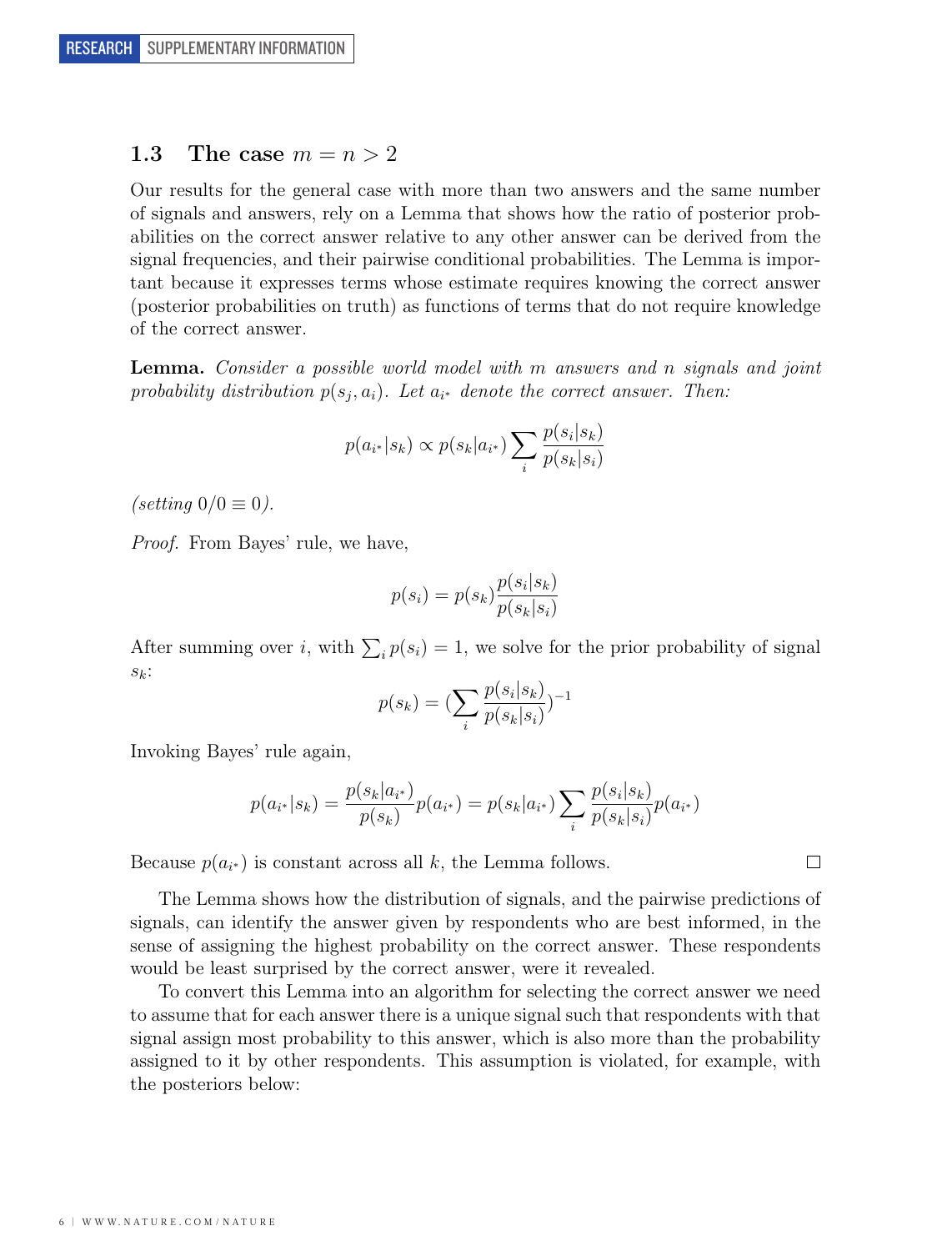#### 1.3 The case  $m = n > 2$

Our results for the general case with more than two answers and the same number of signals and answers, rely on a Lemma that shows how the ratio of posterior probabilities on the correct answer relative to any other answer can be derived from the signal frequencies, and their pairwise conditional probabilities. The Lemma is important because it expresses terms whose estimate requires knowing the correct answer (posterior probabilities on truth) as functions of terms that do not require knowledge of the correct answer.

Lemma. Consider a possible world model with m answers and n signals and joint probability distribution  $p(s_i, a_i)$ . Let  $a_{i^*}$  denote the correct answer. Then:

$$
p(a_{i^*}|s_k) \propto p(s_k|a_{i^*}) \sum_i \frac{p(s_i|s_k)}{p(s_k|s_i)}
$$

 $\text{(setting } 0/0 \equiv 0).$ 

Proof. From Bayes' rule, we have,

$$
p(s_i) = p(s_k) \frac{p(s_i|s_k)}{p(s_k|s_i)}
$$

After summing over i, with  $\sum_i p(s_i) = 1$ , we solve for the prior probability of signal  $s_k$ :

$$
p(s_k) = (\sum_{i} \frac{p(s_i|s_k)}{p(s_k|s_i)})^{-1}
$$

Invoking Bayes' rule again,

$$
p(a_{i^*}|s_k) = \frac{p(s_k|a_{i^*})}{p(s_k)}p(a_{i^*}) = p(s_k|a_{i^*})\sum_i \frac{p(s_i|s_k)}{p(s_k|s_i)}p(a_{i^*})
$$

Because  $p(a_{i^*})$  is constant across all k, the Lemma follows.

The Lemma shows how the distribution of signals, and the pairwise predictions of signals, can identify the answer given by respondents who are best informed, in the sense of assigning the highest probability on the correct answer. These respondents would be least surprised by the correct answer, were it revealed.

To convert this Lemma into an algorithm for selecting the correct answer we need to assume that for each answer there is a unique signal such that respondents with that signal assign most probability to this answer, which is also more than the probability assigned to it by other respondents. This assumption is violated, for example, with the posteriors below:

 $\Box$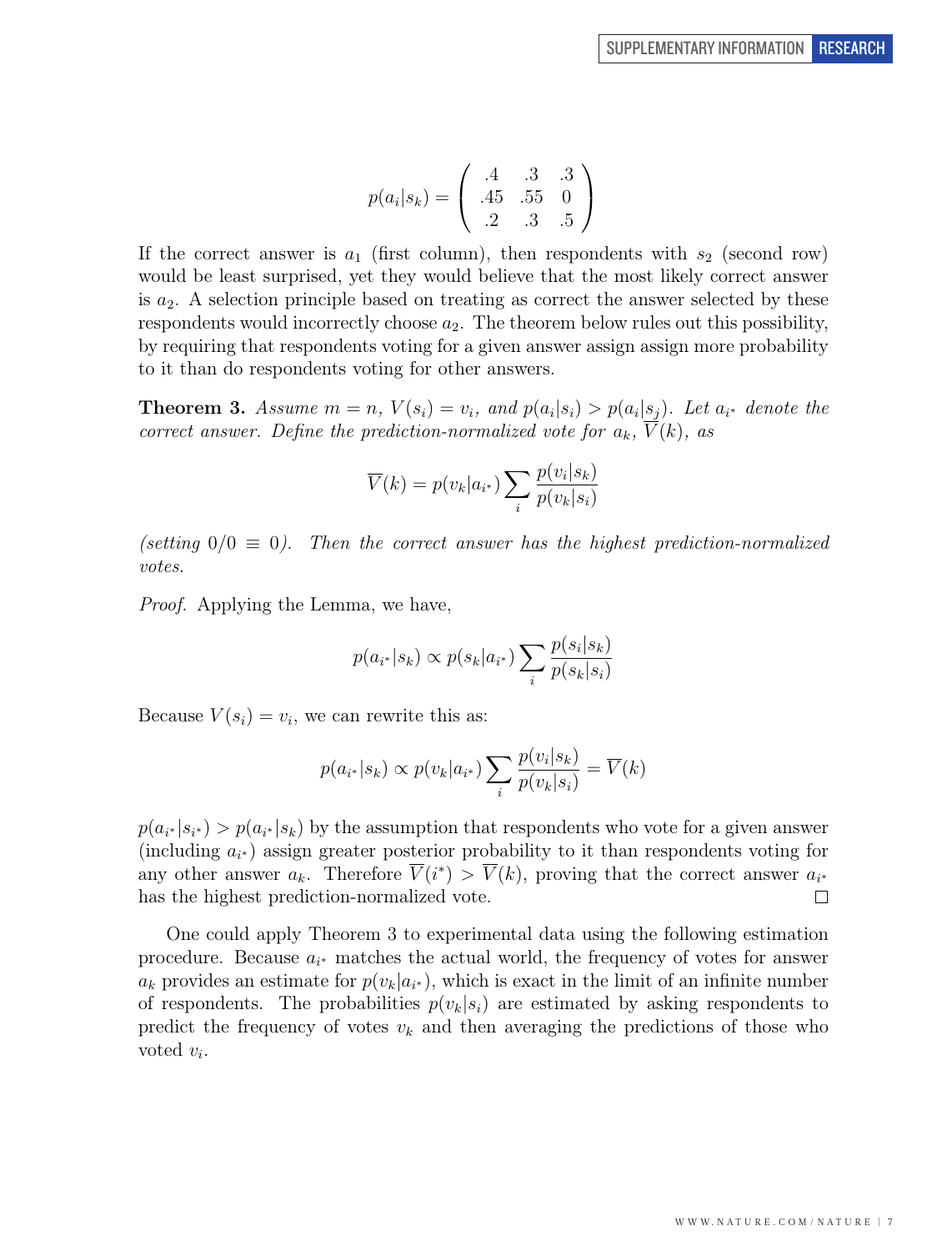$$
p(a_i|s_k) = \left(\begin{array}{ccc} .4 & .3 & .3 \\ .45 & .55 & 0 \\ .2 & .3 & .5 \end{array}\right)
$$

If the correct answer is  $a_1$  (first column), then respondents with  $s_2$  (second row) would be least surprised, yet they would believe that the most likely correct answer is  $a_2$ . A selection principle based on treating as correct the answer selected by these respondents would incorrectly choose  $a_2$ . The theorem below rules out this possibility, by requiring that respondents voting for a given answer assign assign more probability to it than do respondents voting for other answers.

**Theorem 3.** Assume  $m = n$ ,  $V(s_i) = v_i$ , and  $p(a_i|s_i) > p(a_i|s_j)$ . Let  $a_{i^*}$  denote the correct answer. Define the prediction-normalized vote for  $a_k$ ,  $V(k)$ , as

$$
\overline{V}(k) = p(v_k|a_{i^*}) \sum_{i} \frac{p(v_i|s_k)}{p(v_k|s_i)}
$$

(setting  $0/0 \equiv 0$ ). Then the correct answer has the highest prediction-normalized votes.

Proof. Applying the Lemma, we have,

$$
p(a_{i^*}|s_k) \propto p(s_k|a_{i^*}) \sum_i \frac{p(s_i|s_k)}{p(s_k|s_i)}
$$

Because  $V(s_i) = v_i$ , we can rewrite this as:

$$
p(a_{i^*}|s_k) \propto p(v_k|a_{i^*}) \sum_i \frac{p(v_i|s_k)}{p(v_k|s_i)} = \overline{V}(k)
$$

 $p(a_{i*} | s_{i*}) > p(a_{i*} | s_k)$  by the assumption that respondents who vote for a given answer (including  $a_{i*}$ ) assign greater posterior probability to it than respondents voting for any other answer  $a_k$ . Therefore  $V(i^*) > V(k)$ , proving that the correct answer  $a_{i^*}$ has the highest prediction-normalized vote.  $\Box$ 

One could apply Theorem 3 to experimental data using the following estimation procedure. Because  $a_{i^*}$  matches the actual world, the frequency of votes for answer  $a_k$  provides an estimate for  $p(v_k|a_{i^*})$ , which is exact in the limit of an infinite number of respondents. The probabilities  $p(v_k|s_i)$  are estimated by asking respondents to predict the frequency of votes  $v_k$  and then averaging the predictions of those who voted  $v_i$ .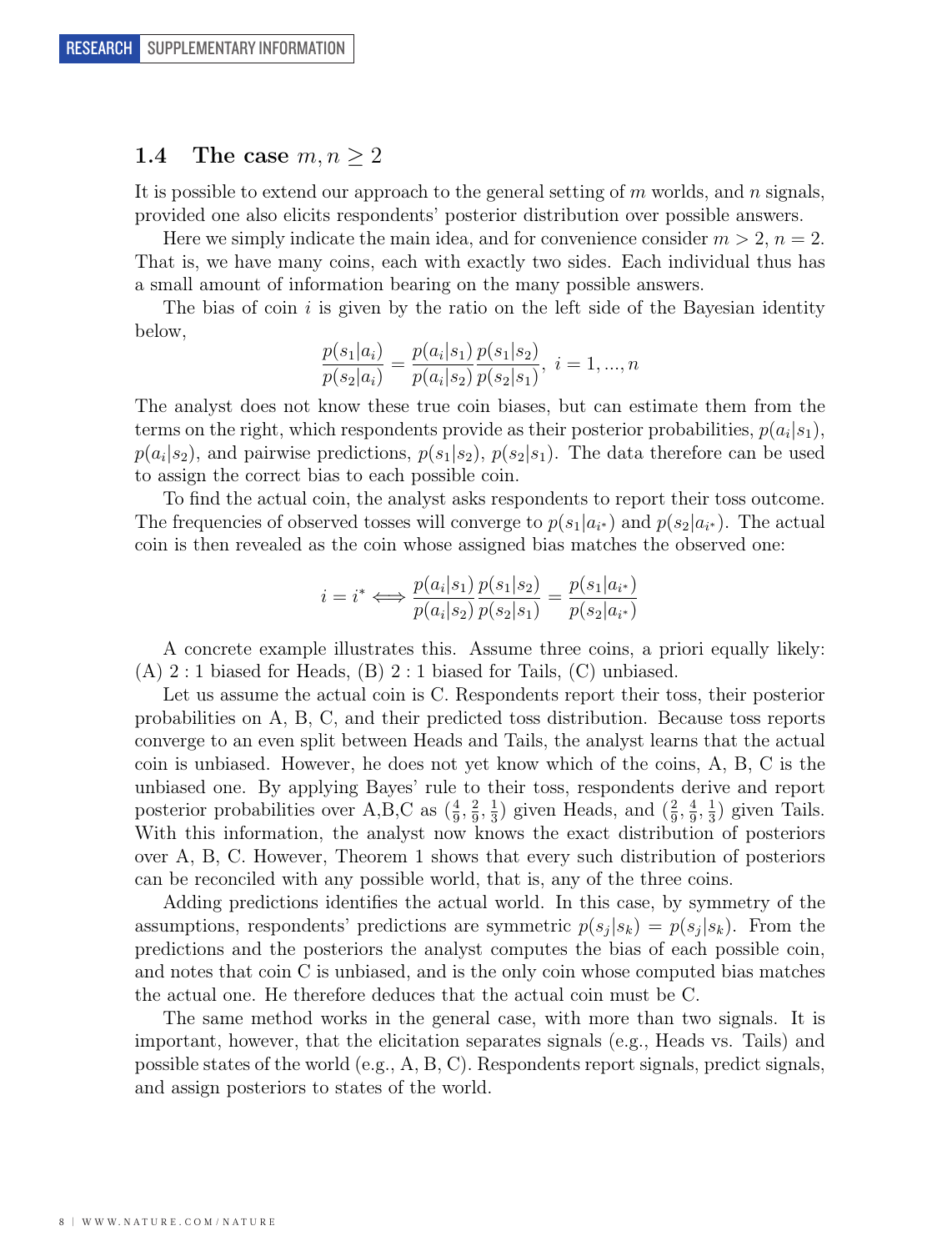## 1.4 The case  $m, n \geq 2$

It is possible to extend our approach to the general setting of  $m$  worlds, and  $n$  signals, provided one also elicits respondents' posterior distribution over possible answers.

Here we simply indicate the main idea, and for convenience consider  $m > 2$ ,  $n = 2$ . That is, we have many coins, each with exactly two sides. Each individual thus has a small amount of information bearing on the many possible answers.

The bias of coin  $i$  is given by the ratio on the left side of the Bayesian identity below,

$$
\frac{p(s_1|a_i)}{p(s_2|a_i)} = \frac{p(a_i|s_1)}{p(a_i|s_2)} \frac{p(s_1|s_2)}{p(s_2|s_1)}, \ i = 1, ..., n
$$

The analyst does not know these true coin biases, but can estimate them from the terms on the right, which respondents provide as their posterior probabilities,  $p(a_i|s_1)$ ,  $p(a_i|s_2)$ , and pairwise predictions,  $p(s_1|s_2)$ ,  $p(s_2|s_1)$ . The data therefore can be used to assign the correct bias to each possible coin.

To find the actual coin, the analyst asks respondents to report their toss outcome. The frequencies of observed tosses will converge to  $p(s_1|a_{i^*})$  and  $p(s_2|a_{i^*})$ . The actual coin is then revealed as the coin whose assigned bias matches the observed one:

$$
i = i^* \iff \frac{p(a_i|s_1)}{p(a_i|s_2)} \frac{p(s_1|s_2)}{p(s_2|s_1)} = \frac{p(s_1|a_{i^*})}{p(s_2|a_{i^*})}
$$

A concrete example illustrates this. Assume three coins, a priori equally likely:  $(A)$  2:1 biased for Heads,  $(B)$  2:1 biased for Tails,  $(C)$  unbiased.

Let us assume the actual coin is C. Respondents report their toss, their posterior probabilities on A, B, C, and their predicted toss distribution. Because toss reports converge to an even split between Heads and Tails, the analyst learns that the actual coin is unbiased. However, he does not yet know which of the coins, A, B, C is the unbiased one. By applying Bayes' rule to their toss, respondents derive and report posterior probabilities over A,B,C as  $(\frac{4}{9}, \frac{2}{9}, \frac{1}{3})$  given Heads, and  $(\frac{2}{9}, \frac{4}{9}, \frac{1}{3})$  given Tails. With this information, the analyst now knows the exact distribution of posteriors over A, B, C. However, Theorem 1 shows that every such distribution of posteriors can be reconciled with any possible world, that is, any of the three coins.

Adding predictions identifies the actual world. In this case, by symmetry of the assumptions, respondents' predictions are symmetric  $p(s_i | s_k) = p(s_i | s_k)$ . From the predictions and the posteriors the analyst computes the bias of each possible coin, and notes that coin C is unbiased, and is the only coin whose computed bias matches the actual one. He therefore deduces that the actual coin must be C.

The same method works in the general case, with more than two signals. It is important, however, that the elicitation separates signals (e.g., Heads vs. Tails) and possible states of the world (e.g., A, B, C). Respondents report signals, predict signals, and assign posteriors to states of the world.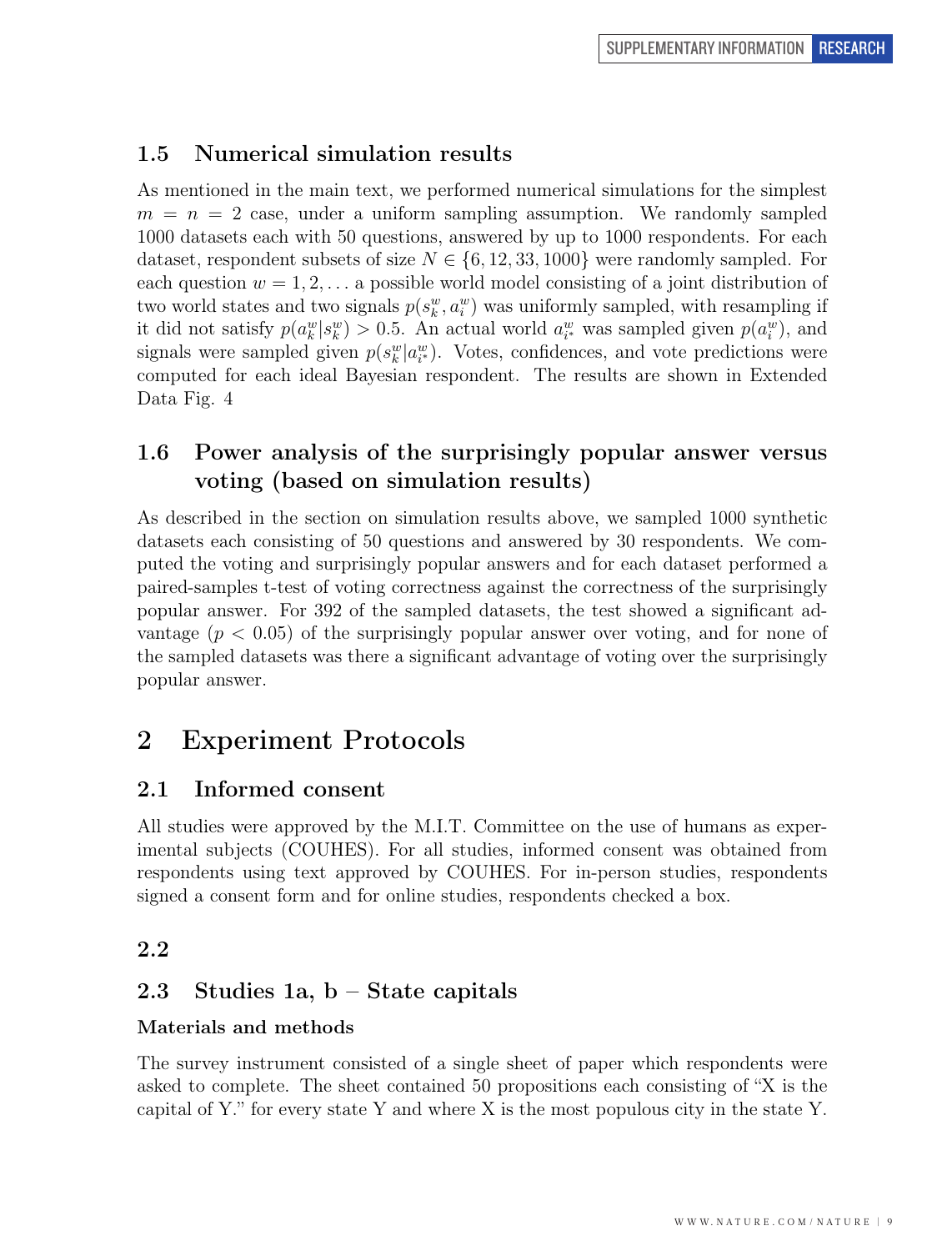# 1.5 Numerical simulation results

As mentioned in the main text, we performed numerical simulations for the simplest  $m = n = 2$  case, under a uniform sampling assumption. We randomly sampled 1000 datasets each with 50 questions, answered by up to 1000 respondents. For each dataset, respondent subsets of size  $N \in \{6, 12, 33, 1000\}$  were randomly sampled. For each question  $w = 1, 2, \ldots$  a possible world model consisting of a joint distribution of two world states and two signals  $p(s_k^w, a_i^w)$  was uniformly sampled, with resampling if it did not satisfy  $p(a_k^w | s_k^w) > 0.5$ . An actual world  $a_{i^*}^w$  was sampled given  $p(a_i^w)$ , and signals were sampled given  $p(s_k^w | a_{i^*}^w)$ . Votes, confidences, and vote predictions were computed for each ideal Bayesian respondent. The results are shown in Extended Data Fig. 4

# 1.6 Power analysis of the surprisingly popular answer versus voting (based on simulation results)

As described in the section on simulation results above, we sampled 1000 synthetic datasets each consisting of 50 questions and answered by 30 respondents. We computed the voting and surprisingly popular answers and for each dataset performed a paired-samples t-test of voting correctness against the correctness of the surprisingly popular answer. For 392 of the sampled datasets, the test showed a significant advantage  $(p < 0.05)$  of the surprisingly popular answer over voting, and for none of the sampled datasets was there a significant advantage of voting over the surprisingly popular answer.

# 2 Experiment Protocols

# 2.1 Informed consent

All studies were approved by the M.I.T. Committee on the use of humans as experimental subjects (COUHES). For all studies, informed consent was obtained from respondents using text approved by COUHES. For in-person studies, respondents signed a consent form and for online studies, respondents checked a box.

# 2.2

# 2.3 Studies 1a, b – State capitals

# Materials and methods

The survey instrument consisted of a single sheet of paper which respondents were asked to complete. The sheet contained 50 propositions each consisting of "X is the capital of Y." for every state Y and where X is the most populous city in the state Y.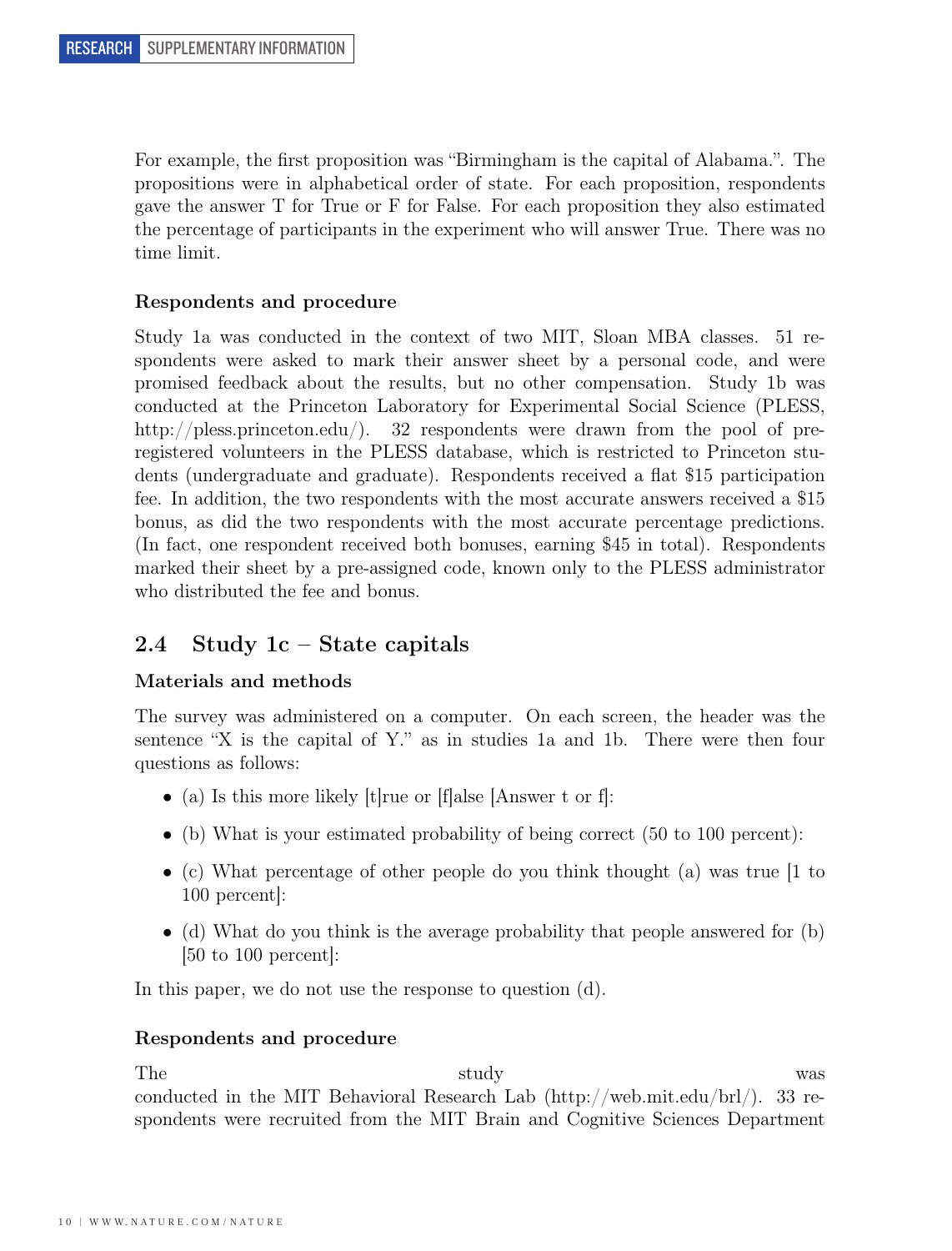For example, the first proposition was "Birmingham is the capital of Alabama.". The propositions were in alphabetical order of state. For each proposition, respondents gave the answer T for True or F for False. For each proposition they also estimated the percentage of participants in the experiment who will answer True. There was no time limit.

#### Respondents and procedure

Study 1a was conducted in the context of two MIT, Sloan MBA classes. 51 respondents were asked to mark their answer sheet by a personal code, and were promised feedback about the results, but no other compensation. Study 1b was conducted at the Princeton Laboratory for Experimental Social Science (PLESS, http://pless.princeton.edu/). 32 respondents were drawn from the pool of preregistered volunteers in the PLESS database, which is restricted to Princeton students (undergraduate and graduate). Respondents received a flat \$15 participation fee. In addition, the two respondents with the most accurate answers received a \$15 bonus, as did the two respondents with the most accurate percentage predictions. (In fact, one respondent received both bonuses, earning \$45 in total). Respondents marked their sheet by a pre-assigned code, known only to the PLESS administrator who distributed the fee and bonus.

# 2.4 Study 1c – State capitals

#### Materials and methods

The survey was administered on a computer. On each screen, the header was the sentence "X is the capital of Y." as in studies 1a and 1b. There were then four questions as follows:

- (a) Is this more likely [t] rue or [f] alse [Answer t or f]:
- (b) What is your estimated probability of being correct  $(50 \text{ to } 100 \text{ percent})$ :
- (c) What percentage of other people do you think thought (a) was true [1 to 100 percent]:
- (d) What do you think is the average probability that people answered for (b) [50 to 100 percent]:

In this paper, we do not use the response to question (d).

#### Respondents and procedure

The study study was conducted in the MIT Behavioral Research Lab (http://web.mit.edu/brl/). 33 respondents were recruited from the MIT Brain and Cognitive Sciences Department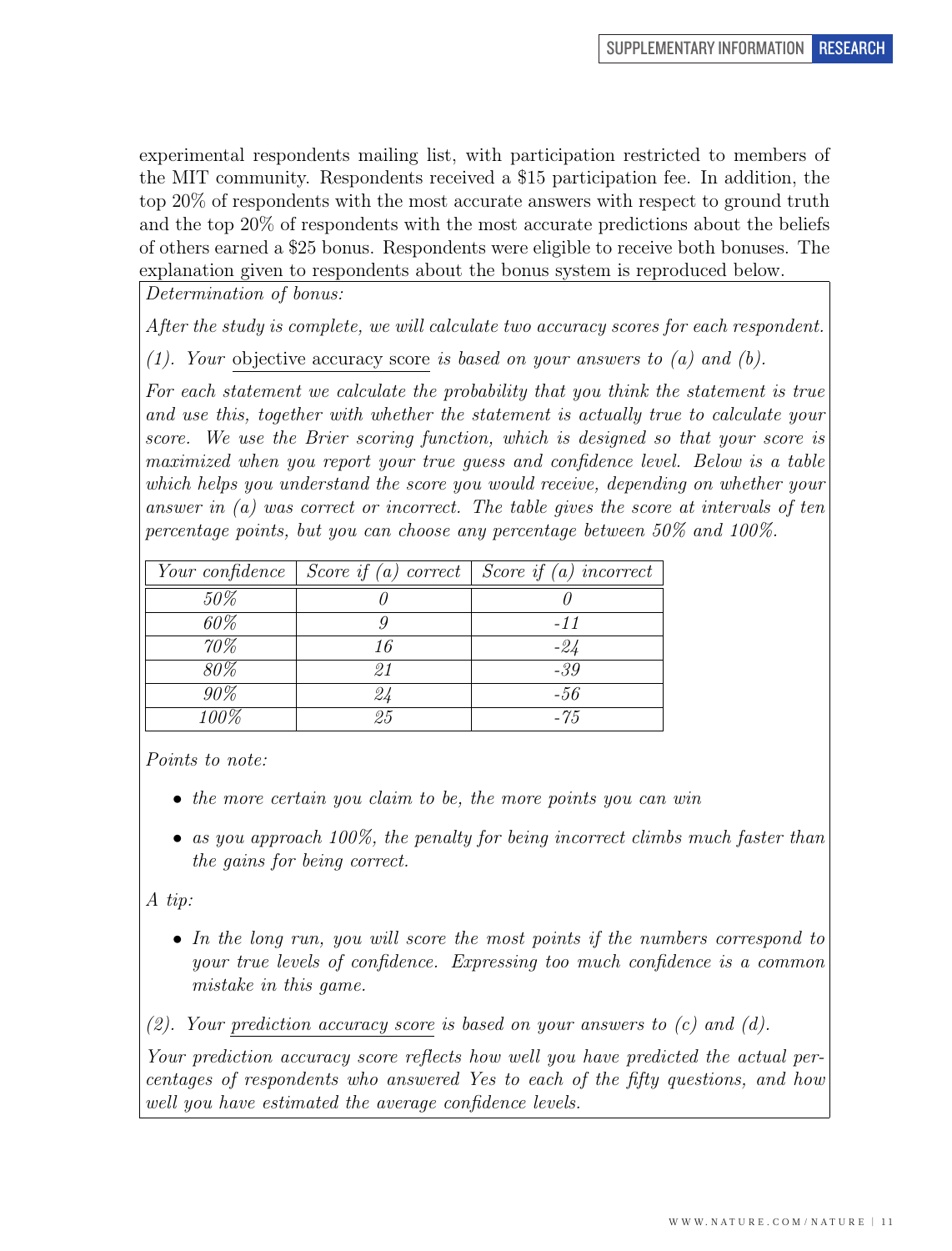experimental respondents mailing list, with participation restricted to members of the MIT community. Respondents received a \$15 participation fee. In addition, the top 20% of respondents with the most accurate answers with respect to ground truth and the top 20% of respondents with the most accurate predictions about the beliefs of others earned a \$25 bonus. Respondents were eligible to receive both bonuses. The explanation given to respondents about the bonus system is reproduced below.

Determination of bonus:

After the study is complete, we will calculate two accuracy scores for each respondent.

(1). Your objective accuracy score is based on your answers to (a) and (b).

For each statement we calculate the probability that you think the statement is true and use this, together with whether the statement is actually true to calculate your score. We use the Brier scoring function, which is designed so that your score is maximized when you report your true guess and confidence level. Below is a table which helps you understand the score you would receive, depending on whether your answer in (a) was correct or incorrect. The table gives the score at intervals of ten percentage points, but you can choose any percentage between 50% and 100%.

|        |     | Your confidence   Score if (a) correct   Score if (a) incorrect |
|--------|-----|-----------------------------------------------------------------|
| $50\%$ |     |                                                                 |
| 60%    |     | -11                                                             |
| $70\%$ | 16  | -24                                                             |
| 80%    | 21  | $-39$                                                           |
| $90\%$ | 24  | -56                                                             |
| 100%   | 2.5 | $-7.5$                                                          |

Points to note:

- the more certain you claim to be, the more points you can win
- as you approach 100%, the penalty for being incorrect climbs much faster than the gains for being correct.

A tip:

• In the long run, you will score the most points if the numbers correspond to your true levels of confidence. Expressing too much confidence is a common mistake in this game.

 $(2)$ . Your prediction accuracy score is based on your answers to  $(c)$  and  $(d)$ .

Your prediction accuracy score reflects how well you have predicted the actual percentages of respondents who answered Yes to each of the fifty questions, and how well you have estimated the average confidence levels.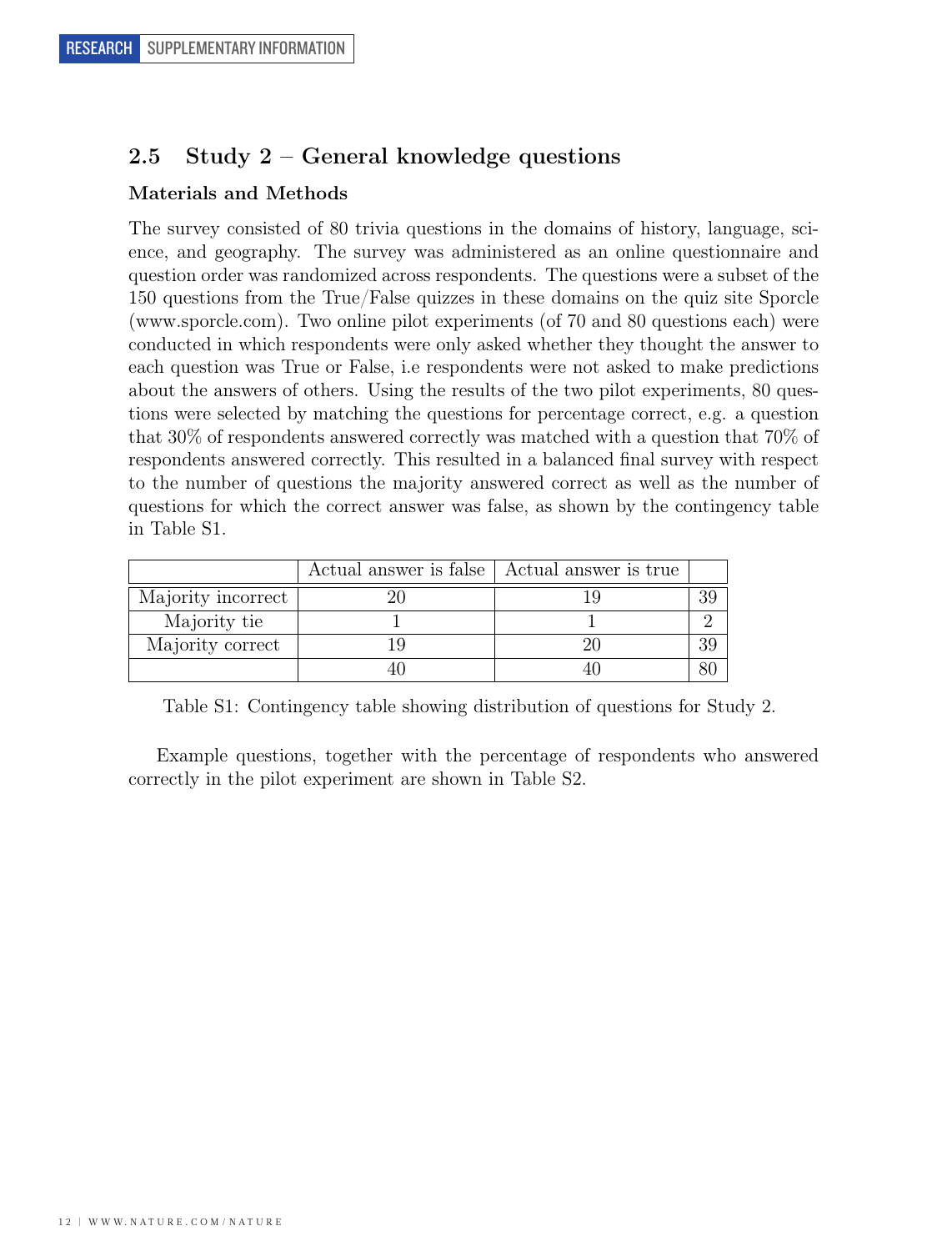# 2.5 Study 2 – General knowledge questions

## Materials and Methods

The survey consisted of 80 trivia questions in the domains of history, language, science, and geography. The survey was administered as an online questionnaire and question order was randomized across respondents. The questions were a subset of the 150 questions from the True/False quizzes in these domains on the quiz site Sporcle (www.sporcle.com). Two online pilot experiments (of 70 and 80 questions each) were conducted in which respondents were only asked whether they thought the answer to each question was True or False, i.e respondents were not asked to make predictions about the answers of others. Using the results of the two pilot experiments, 80 questions were selected by matching the questions for percentage correct, e.g. a question that 30% of respondents answered correctly was matched with a question that 70% of respondents answered correctly. This resulted in a balanced final survey with respect to the number of questions the majority answered correct as well as the number of questions for which the correct answer was false, as shown by the contingency table in Table S1.

|                    | Actual answer is false   Actual answer is true |  |
|--------------------|------------------------------------------------|--|
| Majority incorrect |                                                |  |
| Majority tie       |                                                |  |
| Majority correct   |                                                |  |
|                    |                                                |  |

Table S1: Contingency table showing distribution of questions for Study 2.

Example questions, together with the percentage of respondents who answered correctly in the pilot experiment are shown in Table S2.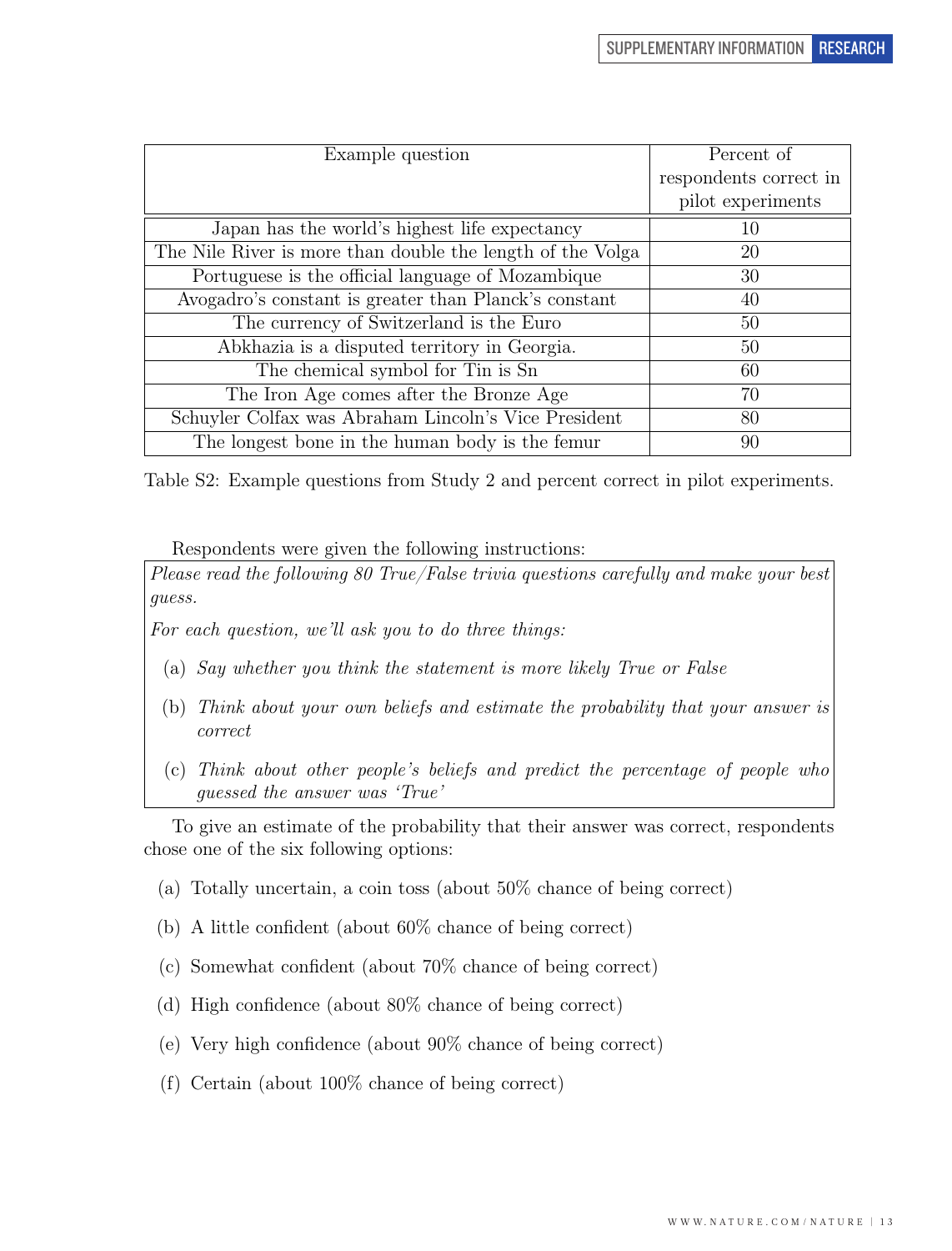| Example question                                           | Percent of             |
|------------------------------------------------------------|------------------------|
|                                                            | respondents correct in |
|                                                            | pilot experiments      |
| Japan has the world's highest life expectancy              | 10                     |
| The Nile River is more than double the length of the Volga | 20                     |
| Portuguese is the official language of Mozambique          | 30                     |
| Avogadro's constant is greater than Planck's constant      | 40                     |
| The currency of Switzerland is the Euro                    | 50                     |
| Abkhazia is a disputed territory in Georgia.               | 50                     |
| The chemical symbol for Tin is Sn                          | 60                     |
| The Iron Age comes after the Bronze Age                    | 70                     |
| Schuyler Colfax was Abraham Lincoln's Vice President       | 80                     |
| The longest bone in the human body is the femur            | 90                     |

Table S2: Example questions from Study 2 and percent correct in pilot experiments.

Respondents were given the following instructions:

Please read the following 80 True/False trivia questions carefully and make your best guess.

For each question, we'll ask you to do three things:

- (a) Say whether you think the statement is more likely True or False
- (b) Think about your own beliefs and estimate the probability that your answer is correct
- (c) Think about other people's beliefs and predict the percentage of people who guessed the answer was 'True'

To give an estimate of the probability that their answer was correct, respondents chose one of the six following options:

- (a) Totally uncertain, a coin toss (about 50% chance of being correct)
- (b) A little confident (about 60% chance of being correct)
- (c) Somewhat confident (about 70% chance of being correct)
- (d) High confidence (about 80% chance of being correct)
- (e) Very high confidence (about 90% chance of being correct)
- (f) Certain (about 100% chance of being correct)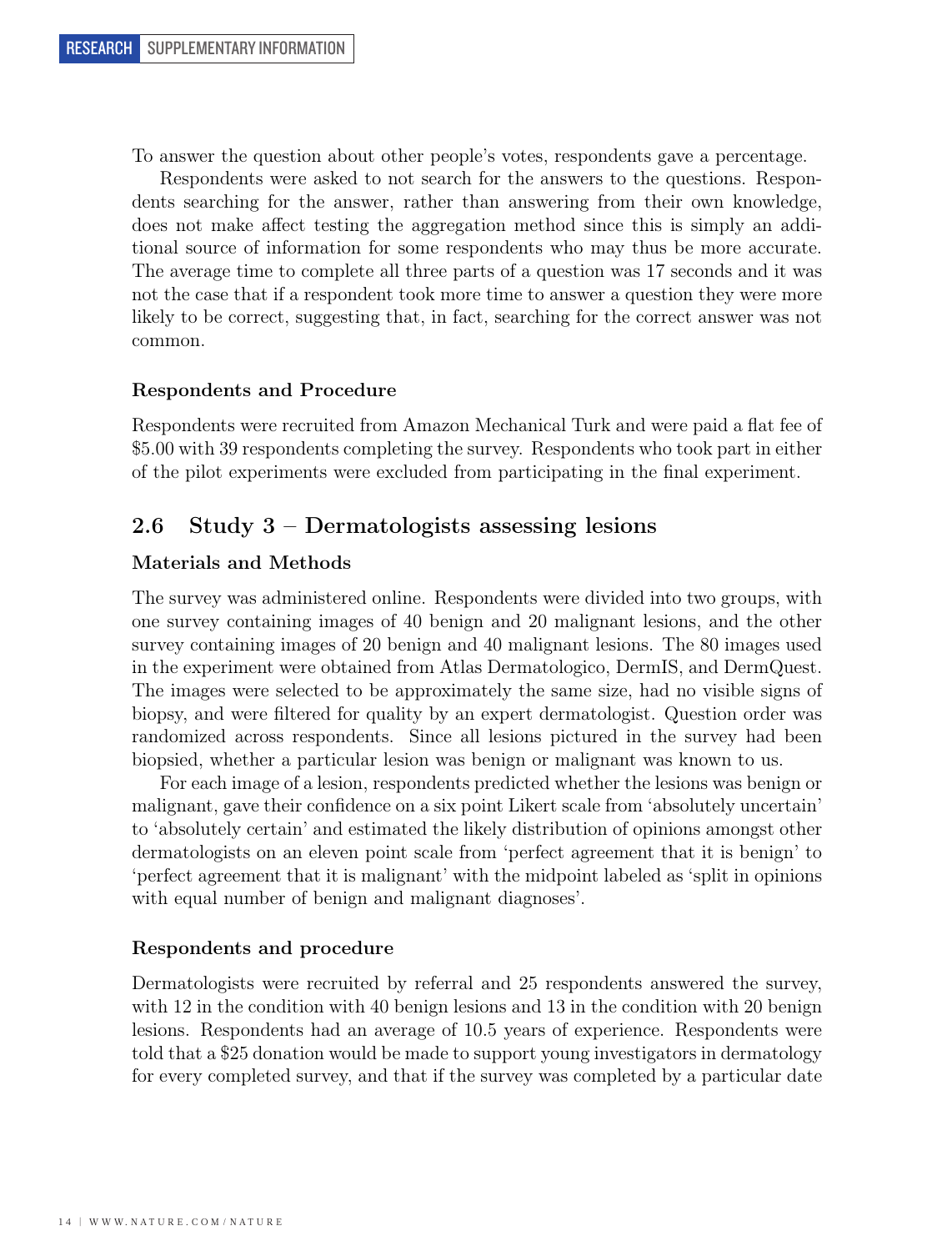To answer the question about other people's votes, respondents gave a percentage.

Respondents were asked to not search for the answers to the questions. Respondents searching for the answer, rather than answering from their own knowledge, does not make affect testing the aggregation method since this is simply an additional source of information for some respondents who may thus be more accurate. The average time to complete all three parts of a question was 17 seconds and it was not the case that if a respondent took more time to answer a question they were more likely to be correct, suggesting that, in fact, searching for the correct answer was not common.

#### Respondents and Procedure

Respondents were recruited from Amazon Mechanical Turk and were paid a flat fee of \$5.00 with 39 respondents completing the survey. Respondents who took part in either of the pilot experiments were excluded from participating in the final experiment.

# 2.6 Study 3 – Dermatologists assessing lesions

#### Materials and Methods

The survey was administered online. Respondents were divided into two groups, with one survey containing images of 40 benign and 20 malignant lesions, and the other survey containing images of 20 benign and 40 malignant lesions. The 80 images used in the experiment were obtained from Atlas Dermatologico, DermIS, and DermQuest. The images were selected to be approximately the same size, had no visible signs of biopsy, and were filtered for quality by an expert dermatologist. Question order was randomized across respondents. Since all lesions pictured in the survey had been biopsied, whether a particular lesion was benign or malignant was known to us.

For each image of a lesion, respondents predicted whether the lesions was benign or malignant, gave their confidence on a six point Likert scale from 'absolutely uncertain' to 'absolutely certain' and estimated the likely distribution of opinions amongst other dermatologists on an eleven point scale from 'perfect agreement that it is benign' to 'perfect agreement that it is malignant' with the midpoint labeled as 'split in opinions with equal number of benign and malignant diagnoses'.

#### Respondents and procedure

Dermatologists were recruited by referral and 25 respondents answered the survey, with 12 in the condition with 40 benign lesions and 13 in the condition with 20 benign lesions. Respondents had an average of 10.5 years of experience. Respondents were told that a \$25 donation would be made to support young investigators in dermatology for every completed survey, and that if the survey was completed by a particular date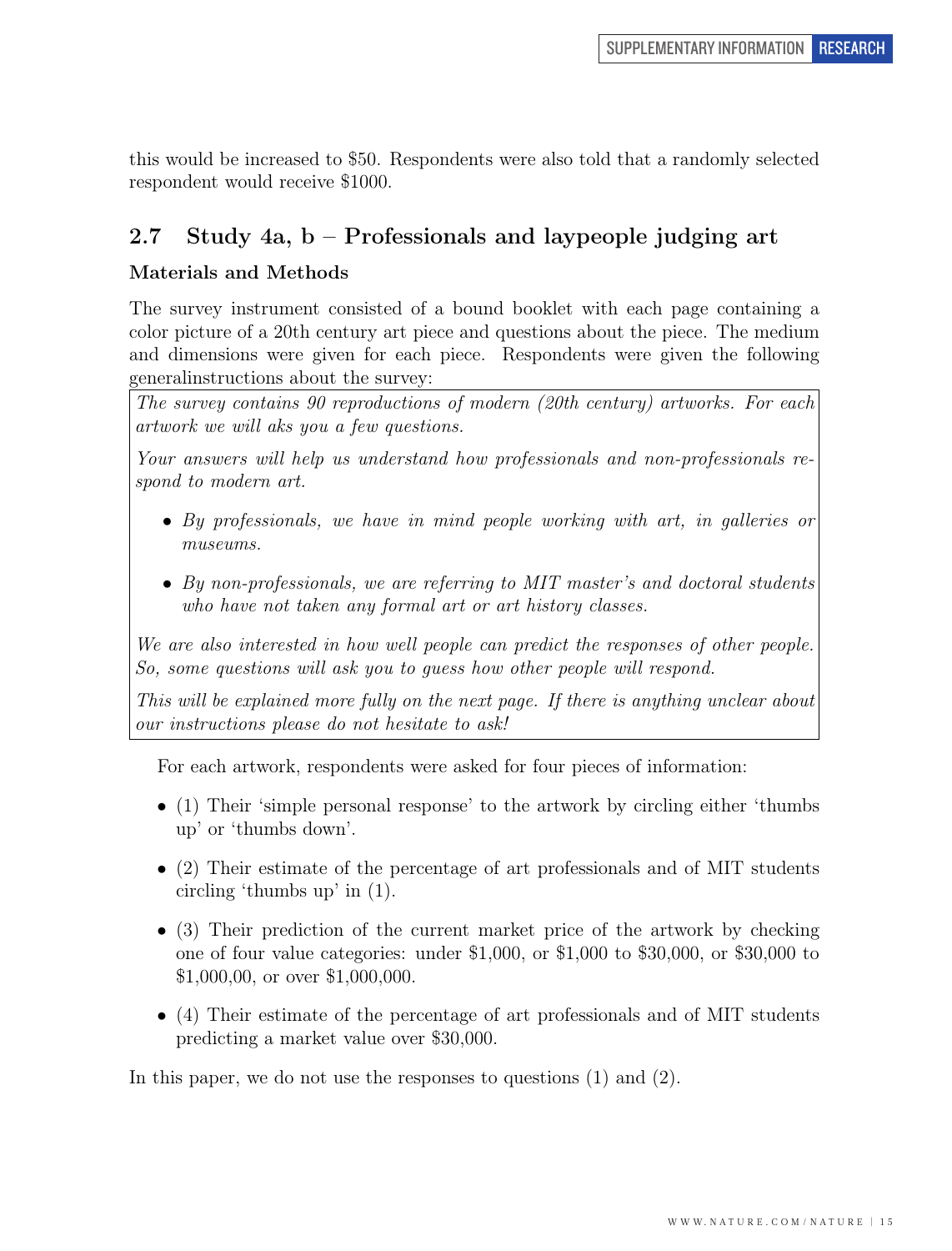this would be increased to \$50. Respondents were also told that a randomly selected respondent would receive \$1000.

# 2.7 Study 4a, b – Professionals and laypeople judging art

## Materials and Methods

The survey instrument consisted of a bound booklet with each page containing a color picture of a 20th century art piece and questions about the piece. The medium and dimensions were given for each piece. Respondents were given the following generalinstructions about the survey:

The survey contains 90 reproductions of modern (20th century) artworks. For each artwork we will aks you a few questions.

Your answers will help us understand how professionals and non-professionals respond to modern art.

- By professionals, we have in mind people working with art, in galleries or museums.
- By non-professionals, we are referring to MIT master's and doctoral students who have not taken any formal art or art history classes.

We are also interested in how well people can predict the responses of other people. So, some questions will ask you to guess how other people will respond.

This will be explained more fully on the next page. If there is anything unclear about our instructions please do not hesitate to ask!

For each artwork, respondents were asked for four pieces of information:

- (1) Their 'simple personal response' to the artwork by circling either 'thumbs up' or 'thumbs down'.
- (2) Their estimate of the percentage of art professionals and of MIT students circling 'thumbs up' in (1).
- (3) Their prediction of the current market price of the artwork by checking one of four value categories: under \$1,000, or \$1,000 to \$30,000, or \$30,000 to \$1,000,00, or over \$1,000,000.
- (4) Their estimate of the percentage of art professionals and of MIT students predicting a market value over \$30,000.

In this paper, we do not use the responses to questions (1) and (2).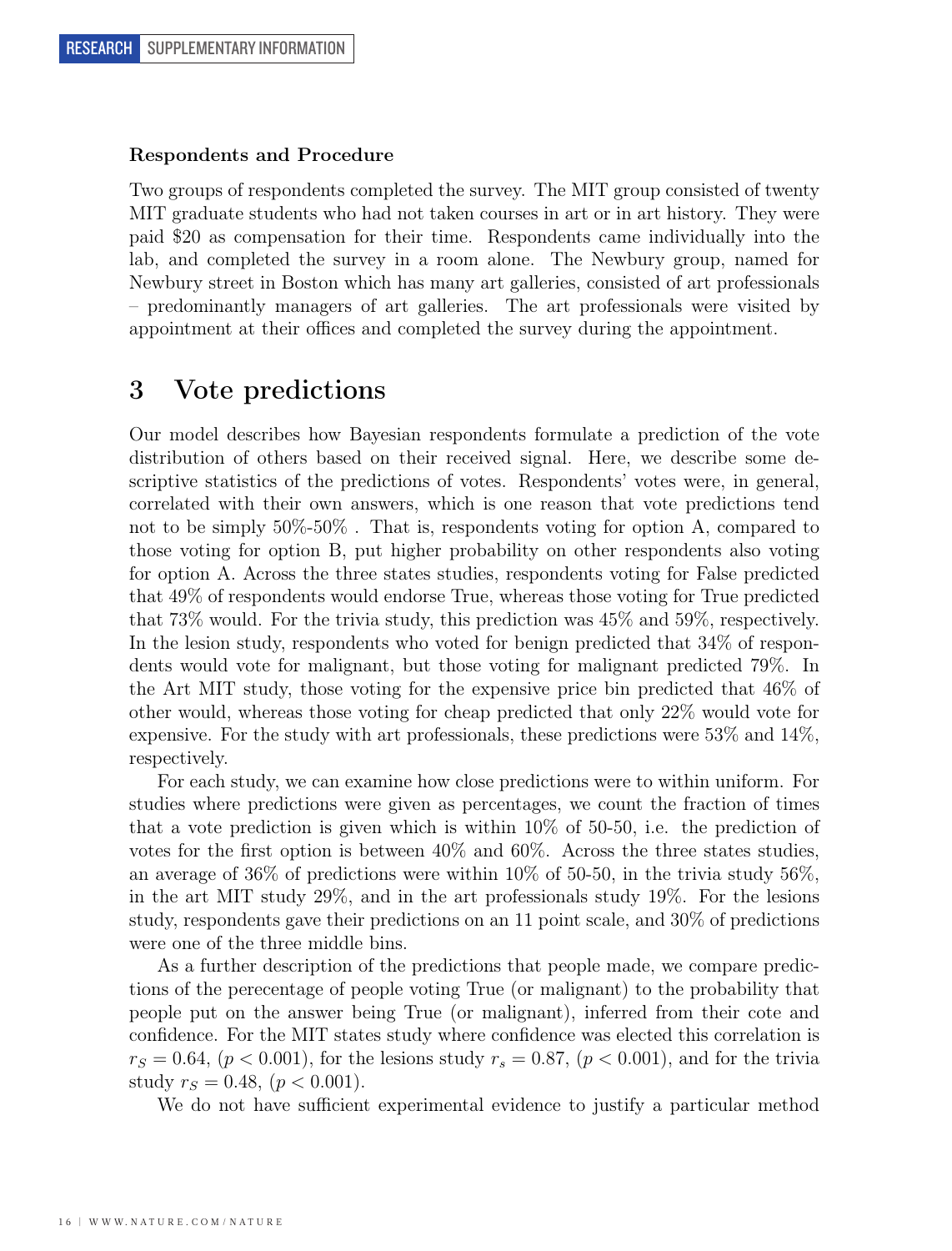#### Respondents and Procedure

Two groups of respondents completed the survey. The MIT group consisted of twenty MIT graduate students who had not taken courses in art or in art history. They were paid \$20 as compensation for their time. Respondents came individually into the lab, and completed the survey in a room alone. The Newbury group, named for Newbury street in Boston which has many art galleries, consisted of art professionals – predominantly managers of art galleries. The art professionals were visited by appointment at their offices and completed the survey during the appointment.

# 3 Vote predictions

Our model describes how Bayesian respondents formulate a prediction of the vote distribution of others based on their received signal. Here, we describe some descriptive statistics of the predictions of votes. Respondents' votes were, in general, correlated with their own answers, which is one reason that vote predictions tend not to be simply 50%-50% . That is, respondents voting for option A, compared to those voting for option B, put higher probability on other respondents also voting for option A. Across the three states studies, respondents voting for False predicted that 49% of respondents would endorse True, whereas those voting for True predicted that 73% would. For the trivia study, this prediction was 45% and 59%, respectively. In the lesion study, respondents who voted for benign predicted that 34% of respondents would vote for malignant, but those voting for malignant predicted 79%. In the Art MIT study, those voting for the expensive price bin predicted that 46% of other would, whereas those voting for cheap predicted that only 22% would vote for expensive. For the study with art professionals, these predictions were 53% and 14%, respectively.

For each study, we can examine how close predictions were to within uniform. For studies where predictions were given as percentages, we count the fraction of times that a vote prediction is given which is within  $10\%$  of 50-50, i.e. the prediction of votes for the first option is between 40% and 60%. Across the three states studies, an average of  $36\%$  of predictions were within  $10\%$  of 50-50, in the trivia study  $56\%$ , in the art MIT study 29%, and in the art professionals study 19%. For the lesions study, respondents gave their predictions on an 11 point scale, and 30% of predictions were one of the three middle bins.

As a further description of the predictions that people made, we compare predictions of the perecentage of people voting True (or malignant) to the probability that people put on the answer being True (or malignant), inferred from their cote and confidence. For the MIT states study where confidence was elected this correlation is  $r_S = 0.64$ ,  $(p < 0.001)$ , for the lesions study  $r_s = 0.87$ ,  $(p < 0.001)$ , and for the trivia study  $r_S = 0.48$ ,  $(p < 0.001)$ .

We do not have sufficient experimental evidence to justify a particular method